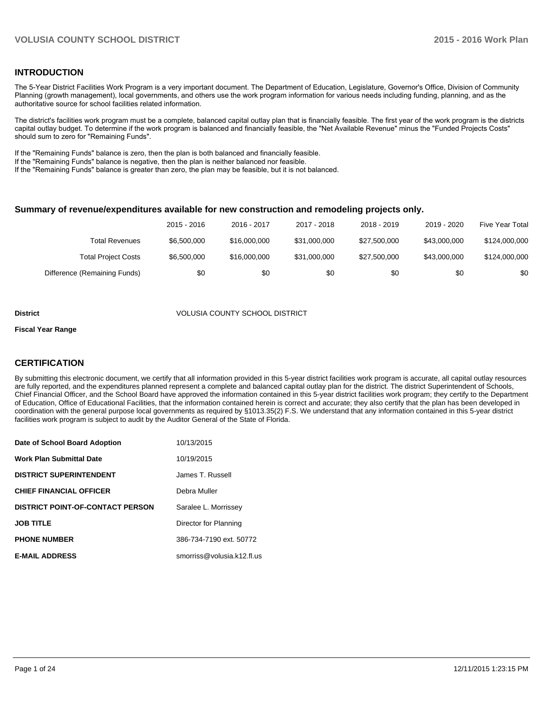### **INTRODUCTION**

The 5-Year District Facilities Work Program is a very important document. The Department of Education, Legislature, Governor's Office, Division of Community Planning (growth management), local governments, and others use the work program information for various needs including funding, planning, and as the authoritative source for school facilities related information.

The district's facilities work program must be a complete, balanced capital outlay plan that is financially feasible. The first year of the work program is the districts capital outlay budget. To determine if the work program is balanced and financially feasible, the "Net Available Revenue" minus the "Funded Projects Costs" should sum to zero for "Remaining Funds".

If the "Remaining Funds" balance is zero, then the plan is both balanced and financially feasible.

If the "Remaining Funds" balance is negative, then the plan is neither balanced nor feasible.

If the "Remaining Funds" balance is greater than zero, the plan may be feasible, but it is not balanced.

#### **Summary of revenue/expenditures available for new construction and remodeling projects only.**

|                              | 2015 - 2016 | 2016 - 2017  | 2017 - 2018  | 2018 - 2019  | 2019 - 2020  | Five Year Total |
|------------------------------|-------------|--------------|--------------|--------------|--------------|-----------------|
| Total Revenues               | \$6,500,000 | \$16,000,000 | \$31,000,000 | \$27,500,000 | \$43,000,000 | \$124,000,000   |
| <b>Total Project Costs</b>   | \$6,500,000 | \$16,000,000 | \$31,000,000 | \$27,500,000 | \$43,000,000 | \$124,000,000   |
| Difference (Remaining Funds) | \$0         | \$0          | \$0          | \$0          | \$0          | \$0             |

#### **District** VOLUSIA COUNTY SCHOOL DISTRICT

#### **Fiscal Year Range**

### **CERTIFICATION**

By submitting this electronic document, we certify that all information provided in this 5-year district facilities work program is accurate, all capital outlay resources are fully reported, and the expenditures planned represent a complete and balanced capital outlay plan for the district. The district Superintendent of Schools, Chief Financial Officer, and the School Board have approved the information contained in this 5-year district facilities work program; they certify to the Department of Education, Office of Educational Facilities, that the information contained herein is correct and accurate; they also certify that the plan has been developed in coordination with the general purpose local governments as required by §1013.35(2) F.S. We understand that any information contained in this 5-year district facilities work program is subject to audit by the Auditor General of the State of Florida.

| Date of School Board Adoption           | 10/13/2015                 |
|-----------------------------------------|----------------------------|
| <b>Work Plan Submittal Date</b>         | 10/19/2015                 |
| <b>DISTRICT SUPERINTENDENT</b>          | James T. Russell           |
| <b>CHIEF FINANCIAL OFFICER</b>          | Debra Muller               |
| <b>DISTRICT POINT-OF-CONTACT PERSON</b> | Saralee L. Morrissey       |
| <b>JOB TITLE</b>                        | Director for Planning      |
| <b>PHONE NUMBER</b>                     | 386-734-7190 ext. 50772    |
| <b>E-MAIL ADDRESS</b>                   | smorriss@volusia.k12.fl.us |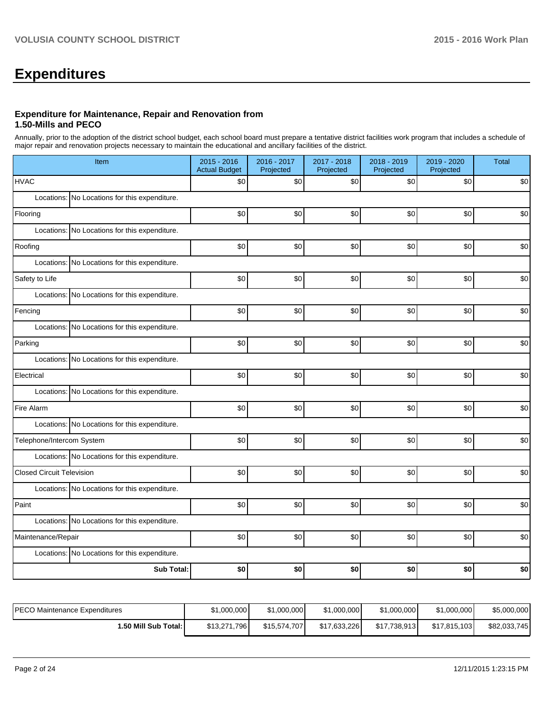# **Expenditures**

#### **Expenditure for Maintenance, Repair and Renovation from 1.50-Mills and PECO**

Annually, prior to the adoption of the district school budget, each school board must prepare a tentative district facilities work program that includes a schedule of major repair and renovation projects necessary to maintain the educational and ancillary facilities of the district.

| Item                                          |                   | $2015 - 2016$<br><b>Actual Budget</b> | 2016 - 2017<br>Projected | 2017 - 2018<br>Projected | 2018 - 2019<br>Projected | 2019 - 2020<br>Projected | <b>Total</b> |
|-----------------------------------------------|-------------------|---------------------------------------|--------------------------|--------------------------|--------------------------|--------------------------|--------------|
| <b>HVAC</b>                                   |                   | \$0                                   | \$0                      | \$0                      | \$0                      | \$0                      | \$0          |
| Locations: No Locations for this expenditure. |                   |                                       |                          |                          |                          |                          |              |
| Flooring                                      |                   | \$0                                   | \$0                      | \$0                      | \$0                      | \$0                      | \$0          |
| Locations: No Locations for this expenditure. |                   |                                       |                          |                          |                          |                          |              |
| Roofing                                       |                   | \$0                                   | \$0                      | \$0                      | \$0                      | \$0                      | \$0          |
| Locations: No Locations for this expenditure. |                   |                                       |                          |                          |                          |                          |              |
| Safety to Life                                |                   | \$0                                   | \$0                      | \$0                      | \$0                      | \$0                      | \$0          |
| Locations: No Locations for this expenditure. |                   |                                       |                          |                          |                          |                          |              |
| Fencing                                       |                   | \$0                                   | \$0                      | \$0                      | \$0                      | \$0                      | \$0          |
| Locations: No Locations for this expenditure. |                   |                                       |                          |                          |                          |                          |              |
| Parking                                       |                   | \$0                                   | \$0                      | \$0                      | \$0                      | \$0                      | \$0          |
| Locations: No Locations for this expenditure. |                   |                                       |                          |                          |                          |                          |              |
| Electrical                                    |                   | \$0                                   | \$0                      | \$0                      | \$0                      | \$0                      | \$0          |
| Locations: No Locations for this expenditure. |                   |                                       |                          |                          |                          |                          |              |
| Fire Alarm                                    |                   | \$0                                   | \$0                      | \$0                      | \$0                      | \$0                      | \$0          |
| Locations: No Locations for this expenditure. |                   |                                       |                          |                          |                          |                          |              |
| Telephone/Intercom System                     |                   | \$0                                   | \$0                      | \$0                      | \$0                      | \$0                      | \$0          |
| Locations: No Locations for this expenditure. |                   |                                       |                          |                          |                          |                          |              |
| <b>Closed Circuit Television</b>              |                   | \$0                                   | \$0                      | \$0                      | \$0                      | \$0                      | $$0$$        |
| Locations: No Locations for this expenditure. |                   |                                       |                          |                          |                          |                          |              |
| Paint                                         |                   | \$0                                   | \$0                      | \$0                      | \$0                      | \$0                      | \$0          |
| Locations: No Locations for this expenditure. |                   |                                       |                          |                          |                          |                          |              |
| Maintenance/Repair                            |                   | \$0                                   | \$0                      | \$0                      | \$0                      | \$0                      | \$0          |
| Locations: No Locations for this expenditure. |                   |                                       |                          |                          |                          |                          |              |
|                                               | <b>Sub Total:</b> | \$0                                   | \$0                      | \$0                      | \$0                      | \$0                      | \$0          |

| IPECO Maintenance Expenditures | \$1,000,000  | \$1,000,000  | \$1,000,000  | \$1,000,000  | \$1,000,000  | \$5,000,000  |
|--------------------------------|--------------|--------------|--------------|--------------|--------------|--------------|
| i.50 Mill Sub Total: I         | \$13.271.796 | \$15,574,707 | \$17,633,226 | \$17,738,913 | \$17.815.103 | \$82,033,745 |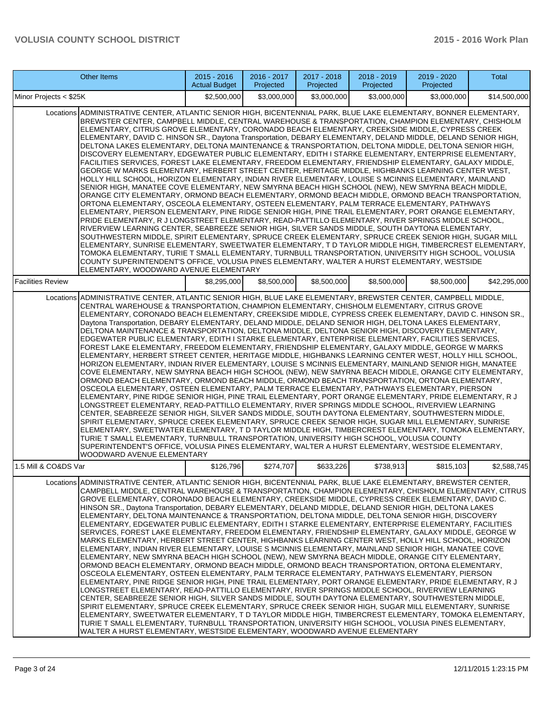|                          | Other Items                                                                                                                                                                                                                                                                                                                                                                                                                                                                                                                                                                                                                                                                                                                                                                                                                                                                                                                                                                                                                                                                                                                                                                                                                                                                                                                                                                                                                                                                                                                                                                                                                                                                                                                                                                                                                                                                                                                                                                                                                                                                                    | $2015 - 2016$<br><b>Actual Budget</b> | 2016 - 2017<br>Projected | 2017 - 2018<br>Projected | 2018 - 2019<br>Projected | 2019 - 2020<br>Projected | Total        |
|--------------------------|------------------------------------------------------------------------------------------------------------------------------------------------------------------------------------------------------------------------------------------------------------------------------------------------------------------------------------------------------------------------------------------------------------------------------------------------------------------------------------------------------------------------------------------------------------------------------------------------------------------------------------------------------------------------------------------------------------------------------------------------------------------------------------------------------------------------------------------------------------------------------------------------------------------------------------------------------------------------------------------------------------------------------------------------------------------------------------------------------------------------------------------------------------------------------------------------------------------------------------------------------------------------------------------------------------------------------------------------------------------------------------------------------------------------------------------------------------------------------------------------------------------------------------------------------------------------------------------------------------------------------------------------------------------------------------------------------------------------------------------------------------------------------------------------------------------------------------------------------------------------------------------------------------------------------------------------------------------------------------------------------------------------------------------------------------------------------------------------|---------------------------------------|--------------------------|--------------------------|--------------------------|--------------------------|--------------|
| Minor Projects < \$25K   |                                                                                                                                                                                                                                                                                                                                                                                                                                                                                                                                                                                                                                                                                                                                                                                                                                                                                                                                                                                                                                                                                                                                                                                                                                                                                                                                                                                                                                                                                                                                                                                                                                                                                                                                                                                                                                                                                                                                                                                                                                                                                                | \$2,500,000                           | \$3,000,000              | \$3,000,000              | \$3,000,000              | \$3,000,000              | \$14,500,000 |
|                          | Locations ADMINISTRATIVE CENTER, ATLANTIC SENIOR HIGH, BICENTENNIAL PARK, BLUE LAKE ELEMENTARY, BONNER ELEMENTARY,<br>BREWSTER CENTER, CAMPBELL MIDDLE, CENTRAL WAREHOUSE & TRANSPORTATION, CHAMPION ELEMENTARY, CHISHOLM<br>ELEMENTARY, CITRUS GROVE ELEMENTARY, CORONADO BEACH ELEMENTARY, CREEKSIDE MIDDLE, CYPRESS CREEK<br>ELEMENTARY, DAVID C. HINSON SR., Daytona Transportation, DEBARY ELEMENTARY, DELAND MIDDLE, DELAND SENIOR HIGH,<br>DELTONA LAKES ELEMENTARY, DELTONA MAINTENANCE & TRANSPORTATION, DELTONA MIDDLE, DELTONA SENIOR HIGH,<br>DISCOVERY ELEMENTARY, EDGEWATER PUBLIC ELEMENTARY, EDITH I STARKE ELEMENTARY, ENTERPRISE ELEMENTARY,<br>FACILITIES SERVICES, FOREST LAKE ELEMENTARY, FREEDOM ELEMENTARY, FRIENDSHIP ELEMENTARY, GALAXY MIDDLE,<br>GEORGE W MARKS ELEMENTARY, HERBERT STREET CENTER, HERITAGE MIDDLE, HIGHBANKS LEARNING CENTER WEST,<br>HOLLY HILL SCHOOL, HORIZON ELEMENTARY, INDIAN RIVER ELEMENTARY, LOUISE S MCINNIS ELEMENTARY, MAINLAND<br>SENIOR HIGH, MANATEE COVE ELEMENTARY, NEW SMYRNA BEACH HIGH SCHOOL (NEW), NEW SMYRNA BEACH MIDDLE,<br>ORANGE CITY ELEMENTARY, ORMOND BEACH ELEMENTARY, ORMOND BEACH MIDDLE, ORMOND BEACH TRANSPORTATION,<br>ORTONA ELEMENTARY, OSCEOLA ELEMENTARY, OSTEEN ELEMENTARY, PALM TERRACE ELEMENTARY, PATHWAYS<br>ELEMENTARY, PIERSON ELEMENTARY, PINE RIDGE SENIOR HIGH, PINE TRAIL ELEMENTARY, PORT ORANGE ELEMENTARY,<br>PRIDE ELEMENTARY, R J LONGSTREET ELEMENTARY, READ-PATTILLO ELEMENTARY, RIVER SPRINGS MIDDLE SCHOOL,<br>RIVERVIEW LEARNING CENTER, SEABREEZE SENIOR HIGH, SILVER SANDS MIDDLE, SOUTH DAYTONA ELEMENTARY,<br>SOUTHWESTERN MIDDLE, SPIRIT ELEMENTARY, SPRUCE CREEK ELEMENTARY, SPRUCE CREEK SENIOR HIGH, SUGAR MILL<br>ELEMENTARY, SUNRISE ELEMENTARY, SWEETWATER ELEMENTARY, T D TAYLOR MIDDLE HIGH, TIMBERCREST ELEMENTARY,<br>TOMOKA ELEMENTARY, TURIE T SMALL ELEMENTARY, TURNBULL TRANSPORTATION, UNIVERSITY HIGH SCHOOL, VOLUSIA<br>COUNTY SUPERINTENDENT'S OFFICE, VOLUSIA PINES ELEMENTARY, WALTER A HURST ELEMENTARY, WESTSIDE<br>ELEMENTARY, WOODWARD AVENUE ELEMENTARY |                                       |                          |                          |                          |                          |              |
| <b>Facilities Review</b> |                                                                                                                                                                                                                                                                                                                                                                                                                                                                                                                                                                                                                                                                                                                                                                                                                                                                                                                                                                                                                                                                                                                                                                                                                                                                                                                                                                                                                                                                                                                                                                                                                                                                                                                                                                                                                                                                                                                                                                                                                                                                                                | \$8,295,000                           | \$8,500,000              | \$8,500,000              | \$8,500,000              | \$8,500,000              | \$42,295,000 |
|                          | Locations ADMINISTRATIVE CENTER, ATLANTIC SENIOR HIGH, BLUE LAKE ELEMENTARY, BREWSTER CENTER, CAMPBELL MIDDLE,<br>CENTRAL WAREHOUSE & TRANSPORTATION, CHAMPION ELEMENTARY, CHISHOLM ELEMENTARY, CITRUS GROVE<br>ELEMENTARY, CORONADO BEACH ELEMENTARY, CREEKSIDE MIDDLE, CYPRESS CREEK ELEMENTARY, DAVID C. HINSON SR.,<br>Daytona Transportation, DEBARY ELEMENTARY, DELAND MIDDLE, DELAND SENIOR HIGH, DELTONA LAKES ELEMENTARY,<br>DELTONA MAINTENANCE & TRANSPORTATION, DELTONA MIDDLE, DELTONA SENIOR HIGH, DISCOVERY ELEMENTARY,<br>EDGEWATER PUBLIC ELEMENTARY, EDITH I STARKE ELEMENTARY, ENTERPRISE ELEMENTARY, FACILITIES SERVICES,<br>FOREST LAKE ELEMENTARY, FREEDOM ELEMENTARY, FRIENDSHIP ELEMENTARY, GALAXY MIDDLE, GEORGE W MARKS<br>ELEMENTARY, HERBERT STREET CENTER, HERITAGE MIDDLE, HIGHBANKS LEARNING CENTER WEST, HOLLY HILL SCHOOL,<br>HORIZON ELEMENTARY, INDIAN RIVER ELEMENTARY, LOUISE S MCINNIS ELEMENTARY, MAINLAND SENIOR HIGH, MANATEE<br>COVE ELEMENTARY, NEW SMYRNA BEACH HIGH SCHOOL (NEW), NEW SMYRNA BEACH MIDDLE, ORANGE CITY ELEMENTARY,<br>ORMOND BEACH ELEMENTARY, ORMOND BEACH MIDDLE, ORMOND BEACH TRANSPORTATION, ORTONA ELEMENTARY,<br>OSCEOLA ELEMENTARY, OSTEEN ELEMENTARY, PALM TERRACE ELEMENTARY, PATHWAYS ELEMENTARY, PIERSON<br>ELEMENTARY, PINE RIDGE SENIOR HIGH, PINE TRAIL ELEMENTARY, PORT ORANGE ELEMENTARY, PRIDE ELEMENTARY, R J<br>LONGSTREET ELEMENTARY, READ-PATTILLO ELEMENTARY, RIVER SPRINGS MIDDLE SCHOOL, RIVERVIEW LEARNING<br>CENTER, SEABREEZE SENIOR HIGH, SILVER SANDS MIDDLE, SOUTH DAYTONA ELEMENTARY, SOUTHWESTERN MIDDLE,<br>SPIRIT ELEMENTARY, SPRUCE CREEK ELEMENTARY, SPRUCE CREEK SENIOR HIGH, SUGAR MILL ELEMENTARY, SUNRISE<br>ELEMENTARY, SWEETWATER ELEMENTARY, T D TAYLOR MIDDLE HIGH, TIMBERCREST ELEMENTARY, TOMOKA ELEMENTARY,<br>TURIE T SMALL ELEMENTARY, TURNBULL TRANSPORTATION, UNIVERSITY HIGH SCHOOL, VOLUSIA COUNTY<br>SUPERINTENDENT'S OFFICE, VOLUSIA PINES ELEMENTARY, WALTER A HURST ELEMENTARY, WESTSIDE ELEMENTARY,<br><b>WOODWARD AVENUE ELEMENTARY</b>                                |                                       |                          |                          |                          |                          |              |
| 1.5 Mill & CO&DS Var     |                                                                                                                                                                                                                                                                                                                                                                                                                                                                                                                                                                                                                                                                                                                                                                                                                                                                                                                                                                                                                                                                                                                                                                                                                                                                                                                                                                                                                                                                                                                                                                                                                                                                                                                                                                                                                                                                                                                                                                                                                                                                                                | \$126,796                             | \$274,707                | \$633,226                | \$738,913                | \$815,103                | \$2,588,745  |
|                          | Locations ADMINISTRATIVE CENTER, ATLANTIC SENIOR HIGH, BICENTENNIAL PARK, BLUE LAKE ELEMENTARY, BREWSTER CENTER,<br>CAMPBELL MIDDLE, CENTRAL WAREHOUSE & TRANSPORTATION, CHAMPION ELEMENTARY, CHISHOLM ELEMENTARY, CITRUS<br>GROVE ELEMENTARY, CORONADO BEACH ELEMENTARY, CREEKSIDE MIDDLE, CYPRESS CREEK ELEMENTARY, DAVID C.<br>HINSON SR., Daytona Transportation, DEBARY ELEMENTARY, DELAND MIDDLE, DELAND SENIOR HIGH, DELTONA LAKES<br>ELEMENTARY, DELTONA MAINTENANCE & TRANSPORTATION, DELTONA MIDDLE, DELTONA SENIOR HIGH, DISCOVERY<br>JELEMENTARY, EDGEWATER PUBLIC ELEMENTARY, EDITH I STARKE ELEMENTARY, ENTERPRISE ELEMENTARY, FACILITIES<br>SERVICES, FOREST LAKE ELEMENTARY, FREEDOM ELEMENTARY, FRIENDSHIP ELEMENTARY, GALAXY MIDDLE, GEORGE W<br>MARKS ELEMENTARY, HERBERT STREET CENTER, HIGHBANKS LEARNING CENTER WEST, HOLLY HILL SCHOOL, HORIZON<br>ELEMENTARY, INDIAN RIVER ELEMENTARY, LOUISE S MCINNIS ELEMENTARY, MAINLAND SENIOR HIGH, MANATEE COVE<br>ELEMENTARY, NEW SMYRNA BEACH HIGH SCHOOL (NEW), NEW SMYRNA BEACH MIDDLE, ORANGE CITY ELEMENTARY,<br>ORMOND BEACH ELEMENTARY, ORMOND BEACH MIDDLE, ORMOND BEACH TRANSPORTATION, ORTONA ELEMENTARY,<br>OSCEOLA ELEMENTARY, OSTEEN ELEMENTARY, PALM TERRACE ELEMENTARY, PATHWAYS ELEMENTARY, PIERSON<br>ELEMENTARY, PINE RIDGE SENIOR HIGH, PINE TRAIL ELEMENTARY, PORT ORANGE ELEMENTARY, PRIDE ELEMENTARY, R J<br>LONGSTREET ELEMENTARY, READ-PATTILLO ELEMENTARY, RIVER SPRINGS MIDDLE SCHOOL, RIVERVIEW LEARNING<br>CENTER, SEABREEZE SENIOR HIGH, SILVER SANDS MIDDLE, SOUTH DAYTONA ELEMENTARY, SOUTHWESTERN MIDDLE,<br>SPIRIT ELEMENTARY, SPRUCE CREEK ELEMENTARY, SPRUCE CREEK SENIOR HIGH, SUGAR MILL ELEMENTARY, SUNRISE<br>ELEMENTARY, SWEETWATER ELEMENTARY, T D TAYLOR MIDDLE HIGH, TIMBERCREST ELEMENTARY, TOMOKA ELEMENTARY,<br>TURIE T SMALL ELEMENTARY, TURNBULL TRANSPORTATION, UNIVERSITY HIGH SCHOOL, VOLUSIA PINES ELEMENTARY,<br>WALTER A HURST ELEMENTARY, WESTSIDE ELEMENTARY, WOODWARD AVENUE ELEMENTARY                                                                               |                                       |                          |                          |                          |                          |              |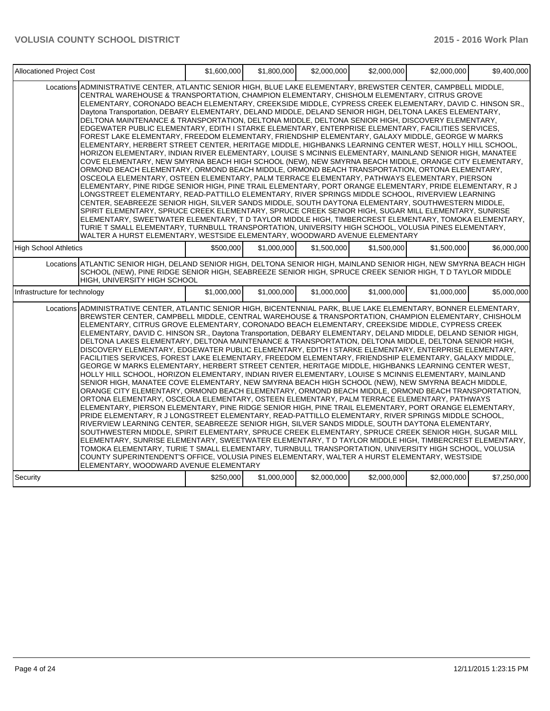| Allocationed Project Cost     |                                                                                                                                                                                                                                                                                                                                                                                                                                                                                                                                                                                                                                                                                                                                                                                                                                                                                                                                                                                                                                                                                                                                                                                                                                                                                                                                                                                                                                                                                                                                                                                                                                                                                                                                                                                                                                                                                                                                                                                                                                                                                                | \$1,600,000 | \$1,800,000 | \$2,000,000 | \$2,000,000 | \$2,000,000 | \$9,400,000 |
|-------------------------------|------------------------------------------------------------------------------------------------------------------------------------------------------------------------------------------------------------------------------------------------------------------------------------------------------------------------------------------------------------------------------------------------------------------------------------------------------------------------------------------------------------------------------------------------------------------------------------------------------------------------------------------------------------------------------------------------------------------------------------------------------------------------------------------------------------------------------------------------------------------------------------------------------------------------------------------------------------------------------------------------------------------------------------------------------------------------------------------------------------------------------------------------------------------------------------------------------------------------------------------------------------------------------------------------------------------------------------------------------------------------------------------------------------------------------------------------------------------------------------------------------------------------------------------------------------------------------------------------------------------------------------------------------------------------------------------------------------------------------------------------------------------------------------------------------------------------------------------------------------------------------------------------------------------------------------------------------------------------------------------------------------------------------------------------------------------------------------------------|-------------|-------------|-------------|-------------|-------------|-------------|
|                               | Locations ADMINISTRATIVE CENTER, ATLANTIC SENIOR HIGH, BLUE LAKE ELEMENTARY, BREWSTER CENTER, CAMPBELL MIDDLE,<br>CENTRAL WAREHOUSE & TRANSPORTATION, CHAMPION ELEMENTARY, CHISHOLM ELEMENTARY, CITRUS GROVE<br>ELEMENTARY, CORONADO BEACH ELEMENTARY, CREEKSIDE MIDDLE, CYPRESS CREEK ELEMENTARY, DAVID C. HINSON SR.,<br>Daytona Transportation, DEBARY ELEMENTARY, DELAND MIDDLE, DELAND SENIOR HIGH, DELTONA LAKES ELEMENTARY,<br>DELTONA MAINTENANCE & TRANSPORTATION, DELTONA MIDDLE, DELTONA SENIOR HIGH, DISCOVERY ELEMENTARY,<br>EDGEWATER PUBLIC ELEMENTARY, EDITH I STARKE ELEMENTARY, ENTERPRISE ELEMENTARY, FACILITIES SERVICES,<br>FOREST LAKE ELEMENTARY, FREEDOM ELEMENTARY, FRIENDSHIP ELEMENTARY, GALAXY MIDDLE, GEORGE W MARKS<br>ELEMENTARY, HERBERT STREET CENTER, HERITAGE MIDDLE, HIGHBANKS LEARNING CENTER WEST, HOLLY HILL SCHOOL,<br>HORIZON ELEMENTARY, INDIAN RIVER ELEMENTARY, LOUISE S MCINNIS ELEMENTARY, MAINLAND SENIOR HIGH, MANATEE<br>COVE ELEMENTARY, NEW SMYRNA BEACH HIGH SCHOOL (NEW), NEW SMYRNA BEACH MIDDLE, ORANGE CITY ELEMENTARY,<br>ORMOND BEACH ELEMENTARY, ORMOND BEACH MIDDLE, ORMOND BEACH TRANSPORTATION, ORTONA ELEMENTARY,<br>OSCEOLA ELEMENTARY, OSTEEN ELEMENTARY, PALM TERRACE ELEMENTARY, PATHWAYS ELEMENTARY, PIERSON<br>ELEMENTARY, PINE RIDGE SENIOR HIGH, PINE TRAIL ELEMENTARY, PORT ORANGE ELEMENTARY, PRIDE ELEMENTARY, R J<br>LONGSTREET ELEMENTARY, READ-PATTILLO ELEMENTARY, RIVER SPRINGS MIDDLE SCHOOL, RIVERVIEW LEARNING<br>CENTER, SEABREEZE SENIOR HIGH, SILVER SANDS MIDDLE, SOUTH DAYTONA ELEMENTARY, SOUTHWESTERN MIDDLE,<br>SPIRIT ELEMENTARY, SPRUCE CREEK ELEMENTARY, SPRUCE CREEK SENIOR HIGH, SUGAR MILL ELEMENTARY, SUNRISE<br>ELEMENTARY, SWEETWATER ELEMENTARY, T D TAYLOR MIDDLE HIGH, TIMBERCREST ELEMENTARY, TOMOKA ELEMENTARY,<br>TURIE T SMALL ELEMENTARY, TURNBULL TRANSPORTATION, UNIVERSITY HIGH SCHOOL, VOLUSIA PINES ELEMENTARY,<br>WALTER A HURST ELEMENTARY, WESTSIDE ELEMENTARY, WOODWARD AVENUE ELEMENTARY                                                                                  |             |             |             |             |             |             |
| <b>High School Athletics</b>  |                                                                                                                                                                                                                                                                                                                                                                                                                                                                                                                                                                                                                                                                                                                                                                                                                                                                                                                                                                                                                                                                                                                                                                                                                                                                                                                                                                                                                                                                                                                                                                                                                                                                                                                                                                                                                                                                                                                                                                                                                                                                                                | \$500,000   | \$1,000,000 | \$1.500.000 | \$1.500.000 | \$1,500,000 | \$6,000,000 |
|                               | Locations ATLANTIC SENIOR HIGH, DELAND SENIOR HIGH, DELTONA SENIOR HIGH, MAINLAND SENIOR HIGH, NEW SMYRNA BEACH HIGH<br>SCHOOL (NEW), PINE RIDGE SENIOR HIGH, SEABREEZE SENIOR HIGH, SPRUCE CREEK SENIOR HIGH, T D TAYLOR MIDDLE<br>HIGH, UNIVERSITY HIGH SCHOOL                                                                                                                                                                                                                                                                                                                                                                                                                                                                                                                                                                                                                                                                                                                                                                                                                                                                                                                                                                                                                                                                                                                                                                                                                                                                                                                                                                                                                                                                                                                                                                                                                                                                                                                                                                                                                               |             |             |             |             |             |             |
| Infrastructure for technology |                                                                                                                                                                                                                                                                                                                                                                                                                                                                                                                                                                                                                                                                                                                                                                                                                                                                                                                                                                                                                                                                                                                                                                                                                                                                                                                                                                                                                                                                                                                                                                                                                                                                                                                                                                                                                                                                                                                                                                                                                                                                                                | \$1,000,000 | \$1,000,000 | \$1,000,000 | \$1,000,000 | \$1,000,000 | \$5,000,000 |
|                               | Locations ADMINISTRATIVE CENTER, ATLANTIC SENIOR HIGH, BICENTENNIAL PARK, BLUE LAKE ELEMENTARY, BONNER ELEMENTARY,<br>BREWSTER CENTER, CAMPBELL MIDDLE, CENTRAL WAREHOUSE & TRANSPORTATION, CHAMPION ELEMENTARY, CHISHOLM<br>ELEMENTARY, CITRUS GROVE ELEMENTARY, CORONADO BEACH ELEMENTARY, CREEKSIDE MIDDLE, CYPRESS CREEK<br>ELEMENTARY, DAVID C. HINSON SR., Daytona Transportation, DEBARY ELEMENTARY, DELAND MIDDLE, DELAND SENIOR HIGH,<br>DELTONA LAKES ELEMENTARY, DELTONA MAINTENANCE & TRANSPORTATION, DELTONA MIDDLE, DELTONA SENIOR HIGH,<br>DISCOVERY ELEMENTARY, EDGEWATER PUBLIC ELEMENTARY, EDITH I STARKE ELEMENTARY, ENTERPRISE ELEMENTARY,<br>FACILITIES SERVICES, FOREST LAKE ELEMENTARY, FREEDOM ELEMENTARY, FRIENDSHIP ELEMENTARY, GALAXY MIDDLE,<br>GEORGE W MARKS ELEMENTARY, HERBERT STREET CENTER, HERITAGE MIDDLE, HIGHBANKS LEARNING CENTER WEST,<br>HOLLY HILL SCHOOL, HORIZON ELEMENTARY, INDIAN RIVER ELEMENTARY, LOUISE S MCINNIS ELEMENTARY, MAINLAND<br>SENIOR HIGH, MANATEE COVE ELEMENTARY, NEW SMYRNA BEACH HIGH SCHOOL (NEW), NEW SMYRNA BEACH MIDDLE,<br>ORANGE CITY ELEMENTARY, ORMOND BEACH ELEMENTARY, ORMOND BEACH MIDDLE, ORMOND BEACH TRANSPORTATION,<br>ORTONA ELEMENTARY, OSCEOLA ELEMENTARY, OSTEEN ELEMENTARY, PALM TERRACE ELEMENTARY, PATHWAYS<br>ELEMENTARY, PIERSON ELEMENTARY, PINE RIDGE SENIOR HIGH, PINE TRAIL ELEMENTARY, PORT ORANGE ELEMENTARY,<br>PRIDE ELEMENTARY, R J LONGSTREET ELEMENTARY, READ-PATTILLO ELEMENTARY, RIVER SPRINGS MIDDLE SCHOOL,<br>RIVERVIEW LEARNING CENTER. SEABREEZE SENIOR HIGH, SILVER SANDS MIDDLE, SOUTH DAYTONA ELEMENTARY.<br>SOUTHWESTERN MIDDLE, SPIRIT ELEMENTARY, SPRUCE CREEK ELEMENTARY, SPRUCE CREEK SENIOR HIGH, SUGAR MILL<br>ELEMENTARY, SUNRISE ELEMENTARY, SWEETWATER ELEMENTARY, T D TAYLOR MIDDLE HIGH, TIMBERCREST ELEMENTARY,<br>TOMOKA ELEMENTARY. TURIE T SMALL ELEMENTARY. TURNBULL TRANSPORTATION. UNIVERSITY HIGH SCHOOL. VOLUSIA<br>COUNTY SUPERINTENDENT'S OFFICE, VOLUSIA PINES ELEMENTARY, WALTER A HURST ELEMENTARY, WESTSIDE<br>ELEMENTARY, WOODWARD AVENUE ELEMENTARY |             |             |             |             |             |             |
| Security                      |                                                                                                                                                                                                                                                                                                                                                                                                                                                                                                                                                                                                                                                                                                                                                                                                                                                                                                                                                                                                                                                                                                                                                                                                                                                                                                                                                                                                                                                                                                                                                                                                                                                                                                                                                                                                                                                                                                                                                                                                                                                                                                | \$250,000   | \$1,000,000 | \$2,000,000 | \$2,000,000 | \$2,000,000 | \$7,250,000 |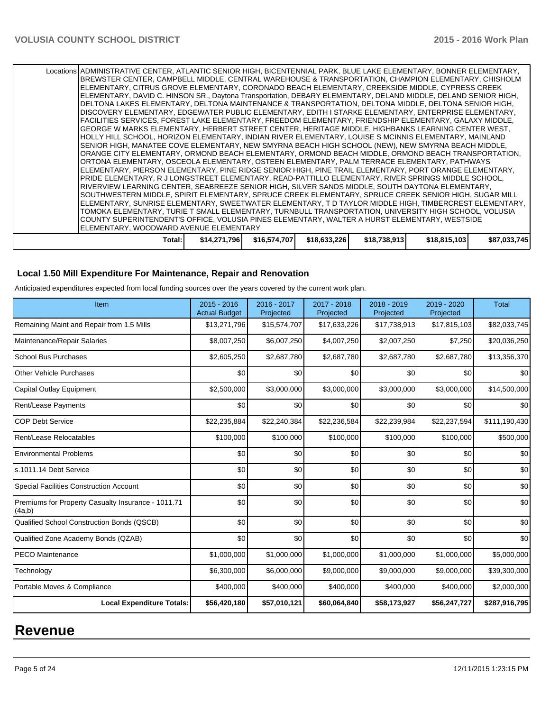| Locations ADMINISTRATIVE CENTER, ATLANTIC SENIOR HIGH, BICENTENNIAL PARK, BLUE LAKE ELEMENTARY, BONNER ELEMENTARY,<br>BREWSTER CENTER, CAMPBELL MIDDLE, CENTRAL WAREHOUSE & TRANSPORTATION, CHAMPION ELEMENTARY, CHISHOLM<br>ELEMENTARY, CITRUS GROVE ELEMENTARY, CORONADO BEACH ELEMENTARY, CREEKSIDE MIDDLE, CYPRESS CREEK<br>ELEMENTARY, DAVID C. HINSON SR., Daytona Transportation, DEBARY ELEMENTARY, DELAND MIDDLE, DELAND SENIOR HIGH,<br>DELTONA LAKES ELEMENTARY, DELTONA MAINTENANCE & TRANSPORTATION, DELTONA MIDDLE, DELTONA SENIOR HIGH,<br>DISCOVERY ELEMENTARY, EDGEWATER PUBLIC ELEMENTARY, EDITH I STARKE ELEMENTARY, ENTERPRISE ELEMENTARY,<br>FACILITIES SERVICES, FOREST LAKE ELEMENTARY, FREEDOM ELEMENTARY, FRIENDSHIP ELEMENTARY, GALAXY MIDDLE,<br>GEORGE W MARKS ELEMENTARY, HERBERT STREET CENTER, HERITAGE MIDDLE, HIGHBANKS LEARNING CENTER WEST,<br>HOLLY HILL SCHOOL, HORIZON ELEMENTARY, INDIAN RIVER ELEMENTARY, LOUISE S MCINNIS ELEMENTARY, MAINLAND<br>SENIOR HIGH, MANATEE COVE ELEMENTARY, NEW SMYRNA BEACH HIGH SCHOOL (NEW), NEW SMYRNA BEACH MIDDLE,<br>ORANGE CITY ELEMENTARY, ORMOND BEACH ELEMENTARY, ORMOND BEACH MIDDLE, ORMOND BEACH TRANSPORTATION,<br>ORTONA ELEMENTARY, OSCEOLA ELEMENTARY, OSTEEN ELEMENTARY, PALM TERRACE ELEMENTARY, PATHWAYS<br>ELEMENTARY, PIERSON ELEMENTARY, PINE RIDGE SENIOR HIGH, PINE TRAIL ELEMENTARY, PORT ORANGE ELEMENTARY, |              |              |              |              |              |              |
|--------------------------------------------------------------------------------------------------------------------------------------------------------------------------------------------------------------------------------------------------------------------------------------------------------------------------------------------------------------------------------------------------------------------------------------------------------------------------------------------------------------------------------------------------------------------------------------------------------------------------------------------------------------------------------------------------------------------------------------------------------------------------------------------------------------------------------------------------------------------------------------------------------------------------------------------------------------------------------------------------------------------------------------------------------------------------------------------------------------------------------------------------------------------------------------------------------------------------------------------------------------------------------------------------------------------------------------------------------------------------------------------------------------|--------------|--------------|--------------|--------------|--------------|--------------|
| PRIDE ELEMENTARY, R J LONGSTREET ELEMENTARY, READ-PATTILLO ELEMENTARY, RIVER SPRINGS MIDDLE SCHOOL,<br>RIVERVIEW LEARNING CENTER, SEABREEZE SENIOR HIGH, SILVER SANDS MIDDLE, SOUTH DAYTONA ELEMENTARY,<br>SOUTHWESTERN MIDDLE, SPIRIT ELEMENTARY, SPRUCE CREEK ELEMENTARY, SPRUCE CREEK SENIOR HIGH, SUGAR MILL<br>ELEMENTARY, SUNRISE ELEMENTARY, SWEETWATER ELEMENTARY, T D TAYLOR MIDDLE HIGH, TIMBERCREST ELEMENTARY,<br>TOMOKA ELEMENTARY, TURIE T SMALL ELEMENTARY, TURNBULL TRANSPORTATION, UNIVERSITY HIGH SCHOOL, VOLUSIA<br>COUNTY SUPERINTENDENT'S OFFICE, VOLUSIA PINES ELEMENTARY, WALTER A HURST ELEMENTARY, WESTSIDE<br>ELEMENTARY, WOODWARD AVENUE ELEMENTARY                                                                                                                                                                                                                                                                                                                                                                                                                                                                                                                                                                                                                                                                                                                               |              |              |              |              |              |              |
| Total: I                                                                                                                                                                                                                                                                                                                                                                                                                                                                                                                                                                                                                                                                                                                                                                                                                                                                                                                                                                                                                                                                                                                                                                                                                                                                                                                                                                                                     | \$14,271,796 | \$16,574,707 | \$18,633,226 | \$18,738,913 | \$18,815,103 | \$87,033,745 |

# **Local 1.50 Mill Expenditure For Maintenance, Repair and Renovation**

Anticipated expenditures expected from local funding sources over the years covered by the current work plan.

| Item                                                         | 2015 - 2016<br><b>Actual Budget</b> | 2016 - 2017<br>Projected | 2017 - 2018<br>Projected | 2018 - 2019<br>Projected | 2019 - 2020<br>Projected | <b>Total</b>  |
|--------------------------------------------------------------|-------------------------------------|--------------------------|--------------------------|--------------------------|--------------------------|---------------|
| Remaining Maint and Repair from 1.5 Mills                    | \$13,271,796                        | \$15,574,707             | \$17,633,226             | \$17,738,913             | \$17,815,103             | \$82,033,745  |
| Maintenance/Repair Salaries                                  | \$8,007,250                         | \$6,007,250              | \$4,007,250              | \$2,007,250              | \$7,250                  | \$20,036,250  |
| <b>School Bus Purchases</b>                                  | \$2,605,250                         | \$2,687,780              | \$2,687,780              | \$2,687,780              | \$2,687,780              | \$13,356,370  |
| <b>Other Vehicle Purchases</b>                               | \$0                                 | \$0                      | \$0                      | \$0                      | \$0                      | \$0           |
| <b>Capital Outlay Equipment</b>                              | \$2,500,000                         | \$3,000,000              | \$3,000,000              | \$3,000,000              | \$3,000,000              | \$14,500,000  |
| Rent/Lease Payments                                          | \$0                                 | \$0                      | \$0                      | \$0                      | \$0                      | \$0           |
| <b>COP Debt Service</b>                                      | \$22,235,884                        | \$22,240,384             | \$22,236,584             | \$22,239,984             | \$22,237,594             | \$111,190,430 |
| Rent/Lease Relocatables                                      | \$100,000                           | \$100,000                | \$100,000                | \$100,000                | \$100,000                | \$500,000     |
| <b>Environmental Problems</b>                                | \$0                                 | \$0                      | \$0                      | \$0                      | \$0                      | \$0           |
| s.1011.14 Debt Service                                       | \$0                                 | \$0                      | \$0                      | \$0                      | \$0                      | \$0           |
| <b>Special Facilities Construction Account</b>               | \$0                                 | \$0                      | \$0                      | \$0                      | \$0                      | \$0           |
| Premiums for Property Casualty Insurance - 1011.71<br>(4a,b) | \$0                                 | \$0                      | \$0                      | \$0                      | \$0                      | \$0           |
| Qualified School Construction Bonds (QSCB)                   | \$0                                 | \$0                      | \$0                      | \$0                      | \$0                      | \$0           |
| Qualified Zone Academy Bonds (QZAB)                          | \$0                                 | \$0                      | \$0                      | \$0                      | \$0                      | \$0           |
| <b>PECO Maintenance</b>                                      | \$1,000,000                         | \$1,000,000              | \$1,000,000              | \$1,000,000              | \$1,000,000              | \$5,000,000   |
| Technology                                                   | \$6,300,000                         | \$6,000,000              | \$9,000,000              | \$9,000,000              | \$9,000,000              | \$39,300,000  |
| Portable Moves & Compliance                                  | \$400,000                           | \$400,000                | \$400,000                | \$400,000                | \$400,000                | \$2,000,000   |
| <b>Local Expenditure Totals:</b>                             | \$56,420,180                        | \$57,010,121             | \$60,064,840             | \$58,173,927             | \$56,247,727             | \$287,916,795 |

# **Revenue**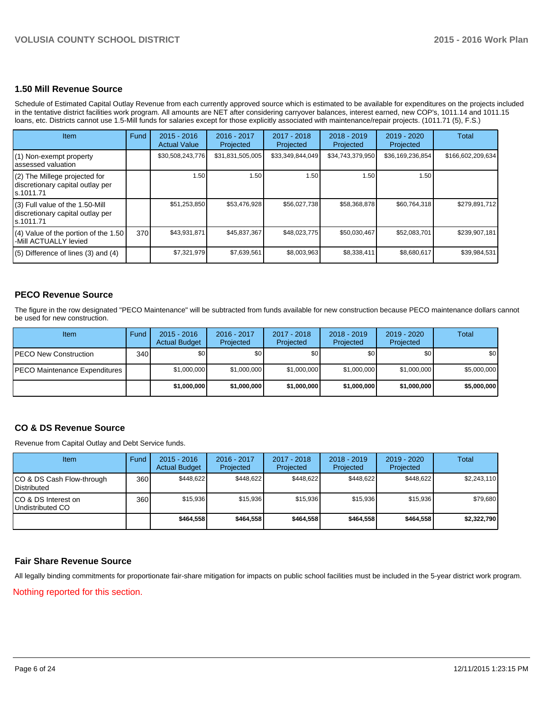#### **1.50 Mill Revenue Source**

Schedule of Estimated Capital Outlay Revenue from each currently approved source which is estimated to be available for expenditures on the projects included in the tentative district facilities work program. All amounts are NET after considering carryover balances, interest earned, new COP's, 1011.14 and 1011.15 loans, etc. Districts cannot use 1.5-Mill funds for salaries except for those explicitly associated with maintenance/repair projects. (1011.71 (5), F.S.)

| Item                                                                                | Fund | $2015 - 2016$<br><b>Actual Value</b> | $2016 - 2017$<br>Projected | $2017 - 2018$<br>Projected | $2018 - 2019$<br>Projected | 2019 - 2020<br>Projected | Total             |
|-------------------------------------------------------------------------------------|------|--------------------------------------|----------------------------|----------------------------|----------------------------|--------------------------|-------------------|
| (1) Non-exempt property<br>lassessed valuation                                      |      | \$30,508,243,776                     | \$31,831,505,005           | \$33,349,844,049           | \$34,743,379,950           | \$36,169,236,854         | \$166,602,209,634 |
| $(2)$ The Millege projected for<br>discretionary capital outlay per<br>ls.1011.71   |      | 1.50                                 | 1.50                       | 1.50                       | 1.50                       | 1.50                     |                   |
| $(3)$ Full value of the 1.50-Mill<br>discretionary capital outlay per<br>ls.1011.71 |      | \$51,253,850                         | \$53,476,928               | \$56,027,738               | \$58,368,878               | \$60,764,318             | \$279,891,712     |
| $(4)$ Value of the portion of the 1.50<br>-Mill ACTUALLY levied                     | 370  | \$43,931,871                         | \$45,837,367               | \$48,023,775               | \$50,030,467               | \$52,083,701             | \$239,907,181     |
| $(5)$ Difference of lines $(3)$ and $(4)$                                           |      | \$7,321,979                          | \$7,639,561                | \$8,003,963                | \$8,338,411                | \$8,680,617              | \$39,984,531      |

# **PECO Revenue Source**

The figure in the row designated "PECO Maintenance" will be subtracted from funds available for new construction because PECO maintenance dollars cannot be used for new construction.

| Item                                  | Fund | $2015 - 2016$<br><b>Actual Budget</b> | 2016 - 2017<br>Projected | $2017 - 2018$<br>Projected | $2018 - 2019$<br>Projected | $2019 - 2020$<br>Projected | Total            |
|---------------------------------------|------|---------------------------------------|--------------------------|----------------------------|----------------------------|----------------------------|------------------|
| <b>IPECO New Construction</b>         | 340  | \$O I                                 | \$0                      | \$0                        | \$0                        | \$0                        | \$0 <sub>1</sub> |
| <b>IPECO Maintenance Expenditures</b> |      | \$1,000,000                           | \$1,000,000              | \$1,000,000                | \$1.000.000                | \$1,000,000                | \$5,000,000      |
|                                       |      | \$1,000,000                           | \$1,000,000              | \$1,000,000                | \$1,000,000                | \$1,000,000                | \$5,000,000      |

# **CO & DS Revenue Source**

Revenue from Capital Outlay and Debt Service funds.

| Item                                             | Fund | $2015 - 2016$<br><b>Actual Budget</b> | $2016 - 2017$<br>Projected | $2017 - 2018$<br>Projected | $2018 - 2019$<br>Projected | $2019 - 2020$<br>Projected | Total       |
|--------------------------------------------------|------|---------------------------------------|----------------------------|----------------------------|----------------------------|----------------------------|-------------|
| ICO & DS Cash Flow-through<br><b>Distributed</b> | 360  | \$448.622                             | \$448.622                  | \$448.622                  | \$448.622                  | \$448.622                  | \$2,243,110 |
| ICO & DS Interest on<br>Undistributed CO         | 360  | \$15.936                              | \$15.936                   | \$15.936                   | \$15,936                   | \$15.936                   | \$79,680    |
|                                                  |      | \$464.558                             | \$464.558                  | \$464.558                  | \$464.558                  | \$464.558                  | \$2,322,790 |

# **Fair Share Revenue Source**

All legally binding commitments for proportionate fair-share mitigation for impacts on public school facilities must be included in the 5-year district work program.

Nothing reported for this section.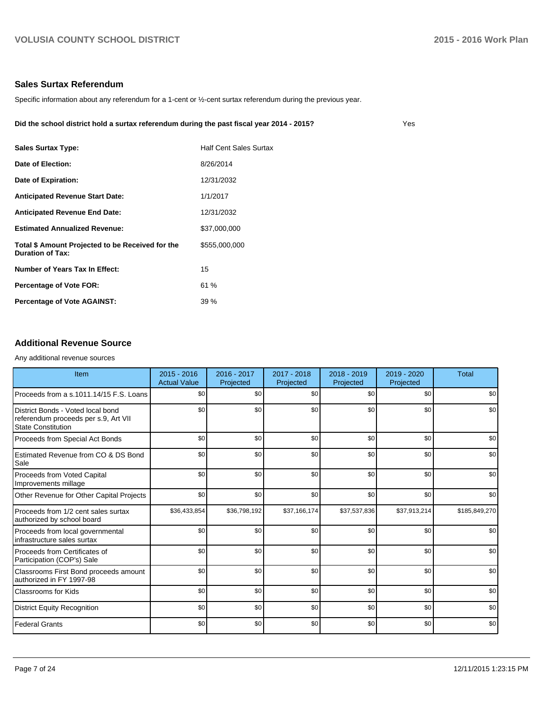# **Sales Surtax Referendum**

Specific information about any referendum for a 1-cent or ½-cent surtax referendum during the previous year.

**Did the school district hold a surtax referendum during the past fiscal year 2014 - 2015?**

| ٠<br>×<br>$\sim$<br>$\sim$ |
|----------------------------|
|----------------------------|

| <b>Sales Surtax Type:</b>                                                   | <b>Half Cent Sales Surtax</b> |
|-----------------------------------------------------------------------------|-------------------------------|
| Date of Election:                                                           | 8/26/2014                     |
| Date of Expiration:                                                         | 12/31/2032                    |
| <b>Anticipated Revenue Start Date:</b>                                      | 1/1/2017                      |
| <b>Anticipated Revenue End Date:</b>                                        | 12/31/2032                    |
| <b>Estimated Annualized Revenue:</b>                                        | \$37.000.000                  |
| Total \$ Amount Projected to be Received for the<br><b>Duration of Tax:</b> | \$555,000,000                 |
| Number of Years Tax In Effect:                                              | 15                            |
| <b>Percentage of Vote FOR:</b>                                              | 61%                           |
| <b>Percentage of Vote AGAINST:</b>                                          | $39\%$                        |

# **Additional Revenue Source**

#### Any additional revenue sources

| Item                                                                                                   | $2015 - 2016$<br>2016 - 2017<br><b>Actual Value</b><br>Projected |              | 2017 - 2018<br>Projected | $2018 - 2019$<br>Projected |              | <b>Total</b>  |
|--------------------------------------------------------------------------------------------------------|------------------------------------------------------------------|--------------|--------------------------|----------------------------|--------------|---------------|
| Proceeds from a s.1011.14/15 F.S. Loans                                                                | \$0 <sub>1</sub>                                                 | \$0          | \$0                      | \$0                        | \$0          | \$0           |
| District Bonds - Voted local bond<br>referendum proceeds per s.9, Art VII<br><b>State Constitution</b> | \$0                                                              | \$0          | \$0                      | \$0                        | \$0          | \$0           |
| Proceeds from Special Act Bonds                                                                        | \$0                                                              | \$0          | \$0                      | \$0                        | \$0          | \$0           |
| Estimated Revenue from CO & DS Bond<br>Sale                                                            | \$0                                                              | \$0          | \$0                      | \$0                        | \$0          | \$0           |
| Proceeds from Voted Capital<br>Improvements millage                                                    | \$0                                                              | \$0          | \$0                      | \$0                        | \$0          | \$0           |
| Other Revenue for Other Capital Projects                                                               | \$0                                                              | \$0          | \$0                      | \$0                        | \$0          | \$0           |
| Proceeds from 1/2 cent sales surtax<br>authorized by school board                                      | \$36,433,854                                                     | \$36,798,192 | \$37,166,174             | \$37,537,836               | \$37,913,214 | \$185,849,270 |
| Proceeds from local governmental<br>infrastructure sales surtax                                        | \$0                                                              | \$0          | \$0                      | \$0                        | \$0          | \$0           |
| Proceeds from Certificates of<br>Participation (COP's) Sale                                            | \$0                                                              | \$0          | \$0                      | \$0                        | \$0          | \$0           |
| Classrooms First Bond proceeds amount<br>authorized in FY 1997-98                                      | \$0                                                              | \$0          | \$0                      | \$0                        | \$0          | \$0           |
| Classrooms for Kids                                                                                    | \$0                                                              | \$0          | \$0                      | \$0                        | \$0          | \$0           |
| <b>District Equity Recognition</b>                                                                     | \$0                                                              | \$0          | \$0                      | \$0                        | \$0          | \$0           |
| <b>Federal Grants</b>                                                                                  | \$0                                                              | \$0          | \$0                      | \$0                        | \$0          | \$0           |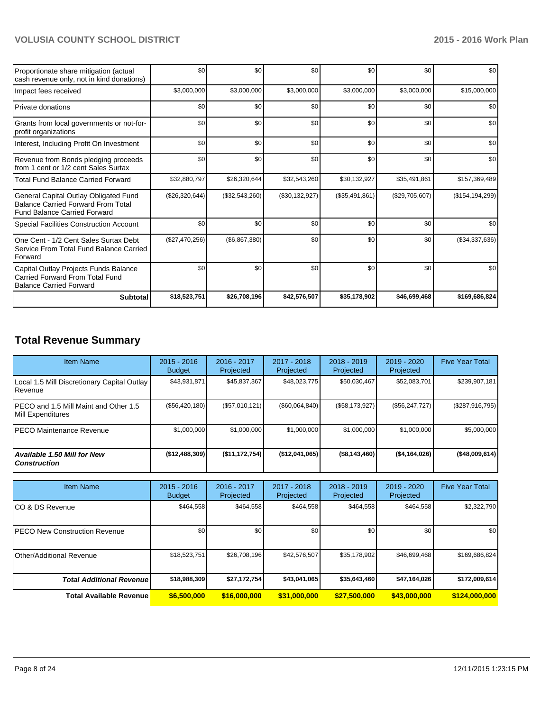| Proportionate share mitigation (actual<br>cash revenue only, not in kind donations)                                       | \$0            | \$0            | \$0            | \$0            | \$0            | \$0               |
|---------------------------------------------------------------------------------------------------------------------------|----------------|----------------|----------------|----------------|----------------|-------------------|
| Impact fees received                                                                                                      | \$3,000,000    | \$3,000,000    | \$3,000,000    | \$3,000,000    | \$3,000,000    | \$15,000,000      |
| Private donations                                                                                                         | \$0            | \$0            | \$0            | \$0            | \$0            | \$0               |
| Grants from local governments or not-for-<br>profit organizations                                                         | \$0            | \$0            | \$0            | \$0            | \$0            | \$0               |
| Interest, Including Profit On Investment                                                                                  | \$0            | \$0            | \$0            | \$0            | \$0            | \$0               |
| Revenue from Bonds pledging proceeds<br>from 1 cent or 1/2 cent Sales Surtax                                              | \$0            | \$0            | \$0            | \$0            | \$0            | \$0               |
| <b>Total Fund Balance Carried Forward</b>                                                                                 | \$32,880,797   | \$26,320,644   | \$32,543,260   | \$30,132,927   | \$35,491,861   | \$157,369,489     |
| General Capital Outlay Obligated Fund<br><b>Balance Carried Forward From Total</b><br><b>Fund Balance Carried Forward</b> | (\$26,320,644) | (\$32,543,260) | (\$30,132,927) | (\$35,491,861) | (\$29,705,607) | (\$154, 194, 299) |
| <b>Special Facilities Construction Account</b>                                                                            | \$0            | \$0            | \$0            | \$0            | \$0            | \$0               |
| One Cent - 1/2 Cent Sales Surtax Debt<br>Service From Total Fund Balance Carried<br>Forward                               | (\$27,470,256) | (\$6,867,380)  | \$0            | \$0            | \$0            | (\$34,337,636)    |
| Capital Outlay Projects Funds Balance<br>Carried Forward From Total Fund<br><b>Balance Carried Forward</b>                | \$0            | \$0            | \$0            | \$0            | \$0            | \$0               |
| <b>Subtotal</b>                                                                                                           | \$18,523,751   | \$26,708,196   | \$42,576,507   | \$35,178,902   | \$46,699,468   | \$169,686,824     |

# **Total Revenue Summary**

| <b>Item Name</b>                                               | $2015 - 2016$<br><b>Budget</b> | $2016 - 2017$<br>Projected | $2017 - 2018$<br>Projected | $2018 - 2019$<br>Projected | $2019 - 2020$<br>Projected | <b>Five Year Total</b> |
|----------------------------------------------------------------|--------------------------------|----------------------------|----------------------------|----------------------------|----------------------------|------------------------|
| Local 1.5 Mill Discretionary Capital Outlay<br><b>IRevenue</b> | \$43,931,871                   | \$45,837,367               | \$48,023,775               | \$50,030,467               | \$52,083,701               | \$239,907,181          |
| IPECO and 1.5 Mill Maint and Other 1.5<br>Mill Expenditures    | (\$56,420,180)                 | (S57.010.121)              | (\$60,064,840)             | (S58, 173, 927)            | (S56.247.727)              | $(\$287,916,795)$      |
| <b>IPECO Maintenance Revenue</b>                               | \$1,000,000                    | \$1,000,000                | \$1,000,000                | \$1,000,000                | \$1,000,000                | \$5,000,000            |
| Available 1.50 Mill for New<br>l Construction                  | (\$12,488,309)                 | (\$11,172,754)             | ( \$12,041,065)            | ( \$8, 143, 460)           | ( \$4,164,026)             | (\$48,009,614)         |

| <b>Item Name</b>                      | $2015 - 2016$<br><b>Budget</b> | 2016 - 2017<br>Projected | $2017 - 2018$<br>Projected | $2018 - 2019$<br>Projected | $2019 - 2020$<br>Projected | <b>Five Year Total</b> |
|---------------------------------------|--------------------------------|--------------------------|----------------------------|----------------------------|----------------------------|------------------------|
| ICO & DS Revenue                      | \$464.558                      | \$464,558                | \$464,558                  | \$464.558                  | \$464,558                  | \$2,322,790            |
| <b>IPECO New Construction Revenue</b> | \$0                            | \$0                      | \$0 <sub>1</sub>           | \$0                        | \$0                        | \$0                    |
| IOther/Additional Revenue             | \$18,523,751                   | \$26,708,196             | \$42,576,507               | \$35,178,902               | \$46,699,468               | \$169,686,824          |
| <b>Total Additional Revenue</b>       | \$18,988,309                   | \$27,172,754]            | \$43,041,065               | \$35,643,460               | \$47,164,026               | \$172,009,614          |
| <b>Total Available Revenue</b>        | \$6,500,000                    | \$16,000,000             | \$31,000,000               | \$27,500,000               | \$43,000,000               | \$124,000,000          |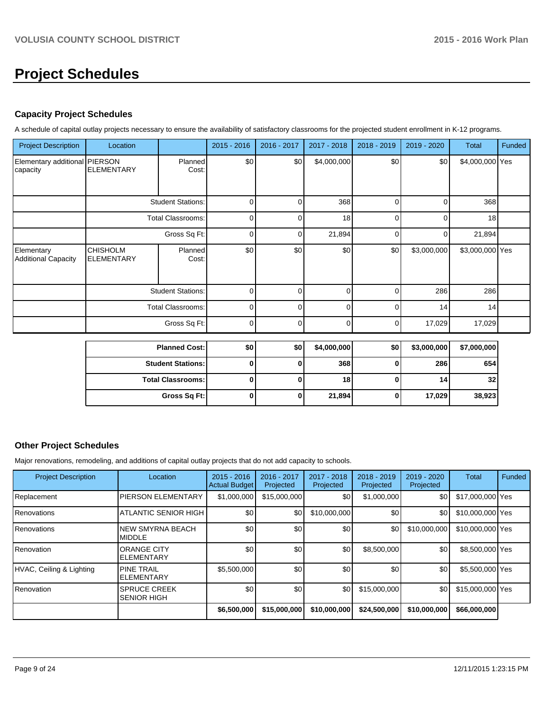# **Project Schedules**

# **Capacity Project Schedules**

A schedule of capital outlay projects necessary to ensure the availability of satisfactory classrooms for the projected student enrollment in K-12 programs.

| <b>Project Description</b>                | Location                             |                          | 2015 - 2016 | 2016 - 2017 | 2017 - 2018 | 2018 - 2019 | 2019 - 2020 | <b>Total</b>    | Funded |
|-------------------------------------------|--------------------------------------|--------------------------|-------------|-------------|-------------|-------------|-------------|-----------------|--------|
| Elementary additional PIERSON<br>capacity | <b>ELEMENTARY</b>                    | Planned<br>Cost:         | \$0         | \$0         | \$4,000,000 | \$0         | \$0         | \$4,000,000 Yes |        |
|                                           |                                      | <b>Student Stations:</b> | 0           |             | 368         | 0           | 0           | 368             |        |
|                                           |                                      | <b>Total Classrooms:</b> | 0           | ∩           | 18          | $\Omega$    | $\Omega$    | 18              |        |
|                                           |                                      | Gross Sq Ft:             | 0           |             | 21,894      | ሰ           | 0           | 21,894          |        |
| Elementary<br>Additional Capacity         | <b>CHISHOLM</b><br><b>ELEMENTARY</b> | Planned<br>Cost:         | \$0         | \$0         | \$0         | \$0         | \$3,000,000 | \$3,000,000 Yes |        |
|                                           |                                      | <b>Student Stations:</b> | O           |             | O           |             | 286         | 286             |        |
|                                           |                                      | <b>Total Classrooms:</b> | $\Omega$    | ∩           | $\Omega$    | U           | 14          | 14              |        |
|                                           |                                      | Gross Sq Ft:             | $\Omega$    | ŋ           | $\Omega$    | 0           | 17,029      | 17,029          |        |

| <b>Planned Cost:</b>     | \$0 | \$0 | \$4,000,000     | \$0 <sub>1</sub> | \$3,000,000 | \$7,000,000     |
|--------------------------|-----|-----|-----------------|------------------|-------------|-----------------|
| <b>Student Stations:</b> |     |     | 368             |                  | 286         | 654             |
| <b>Total Classrooms:</b> |     |     | 18 <sup>1</sup> |                  | 14          | 32 <sub>1</sub> |
| Gross Sq Ft:             |     |     | 21,894          |                  | 17,029      | 38,923          |

### **Other Project Schedules**

Major renovations, remodeling, and additions of capital outlay projects that do not add capacity to schools.

| <b>Project Description</b> | Location                                  | $2015 - 2016$<br><b>Actual Budget</b> | 2016 - 2017<br>Projected | 2017 - 2018<br>Projected | $2018 - 2019$<br>Projected | 2019 - 2020<br>Projected | <b>Total</b>     | Funded |
|----------------------------|-------------------------------------------|---------------------------------------|--------------------------|--------------------------|----------------------------|--------------------------|------------------|--------|
| Replacement                | <b>PIERSON ELEMENTARY</b>                 | \$1,000,000                           | \$15,000,000             | \$0                      | \$1,000,000                | \$0                      | \$17,000,000 Yes |        |
| <b>Renovations</b>         | <b>ATLANTIC SENIOR HIGH</b>               | \$0                                   | \$0                      | \$10,000,000             | \$0                        | \$0                      | \$10,000,000 Yes |        |
| <b>Renovations</b>         | <b>NEW SMYRNA BEACH</b><br><b>IMIDDLE</b> | \$0                                   | \$0                      | \$0                      | \$0                        | \$10,000,000             | \$10,000,000 Yes |        |
| <b>Renovation</b>          | <b>ORANGE CITY</b><br><b>IELEMENTARY</b>  | \$0                                   | \$0                      | \$0                      | \$8,500,000                | \$0                      | \$8,500,000 Yes  |        |
| HVAC, Ceiling & Lighting   | <b>PINE TRAIL</b><br><b>ELEMENTARY</b>    | \$5,500,000                           | \$0                      | \$0                      | \$0                        | \$0                      | \$5,500,000 Yes  |        |
| Renovation                 | <b>SPRUCE CREEK</b><br><b>SENIOR HIGH</b> | \$0                                   | \$0                      | \$0                      | \$15,000,000               | \$0                      | \$15,000,000 Yes |        |
|                            |                                           | \$6,500,000                           | \$15,000,000             | \$10,000,000             | \$24,500,000               | \$10,000,000             | \$66,000,000     |        |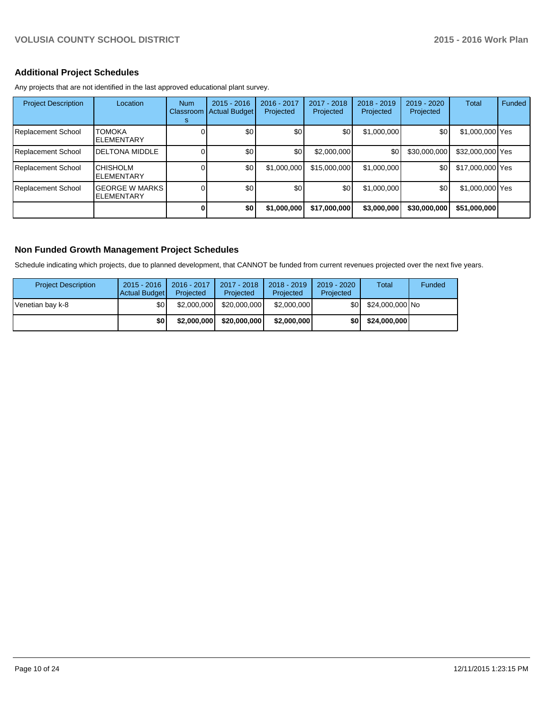# **Additional Project Schedules**

Any projects that are not identified in the last approved educational plant survey.

| <b>Project Description</b> | Location                                   | <b>Num</b><br>Classroom<br>s | $2015 - 2016$<br><b>Actual Budget</b> | 2016 - 2017<br>Projected | 2017 - 2018<br>Projected | 2018 - 2019<br>Projected | 2019 - 2020<br>Projected | Total            | <b>Funded</b> |
|----------------------------|--------------------------------------------|------------------------------|---------------------------------------|--------------------------|--------------------------|--------------------------|--------------------------|------------------|---------------|
| Replacement School         | <b>TOMOKA</b><br><b>ELEMENTARY</b>         |                              | \$0                                   | \$0                      | \$0                      | \$1,000,000              | \$0                      | \$1,000,000 Yes  |               |
| Replacement School         | <b>DELTONA MIDDLE</b>                      |                              | \$0                                   | \$0                      | \$2,000,000              | \$0                      | \$30,000,000             | \$32,000,000 Yes |               |
| Replacement School         | <b>CHISHOLM</b><br><b>ELEMENTARY</b>       |                              | \$0                                   | \$1,000,000              | \$15,000,000             | \$1,000,000              | \$0                      | \$17,000,000 Yes |               |
| Replacement School         | <b>GEORGE W MARKS</b><br><b>ELEMENTARY</b> |                              | \$0                                   | \$0                      | \$0                      | \$1,000,000              | \$0                      | \$1,000,000 Yes  |               |
|                            |                                            |                              | \$0                                   | \$1,000,000              | \$17,000,000             | \$3,000,000              | \$30,000,000             | \$51,000,000     |               |

### **Non Funded Growth Management Project Schedules**

Schedule indicating which projects, due to planned development, that CANNOT be funded from current revenues projected over the next five years.

| <b>Project Description</b> | $2015 - 2016$<br><b>Actual Budget</b> | 2016 - 2017<br>Projected | 2017 - 2018<br>Projected | $2018 - 2019$<br>Projected | 2019 - 2020<br>Projected | Total           | Funded |
|----------------------------|---------------------------------------|--------------------------|--------------------------|----------------------------|--------------------------|-----------------|--------|
| Venetian bay k-8           | \$0                                   | \$2,000,000              | \$20,000,000             | \$2.000.000                | \$0I                     | \$24,000,000 No |        |
|                            | \$0                                   | \$2,000,000              | \$20,000,000             | \$2,000,000                | \$0 I                    | \$24,000,000    |        |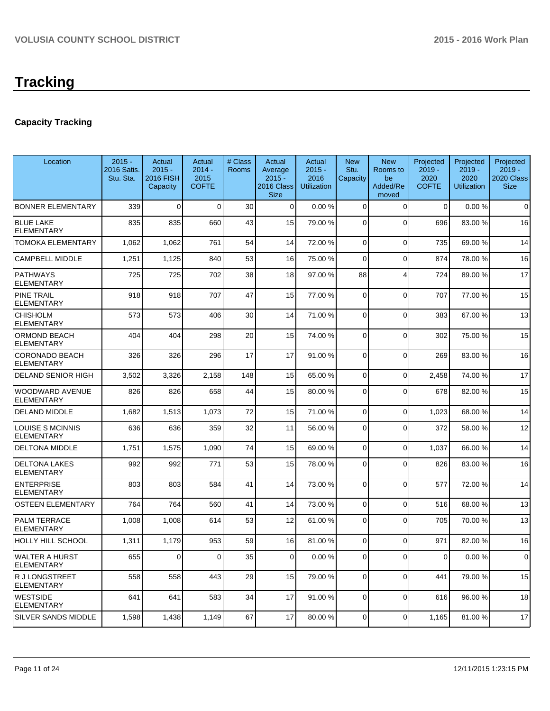# **Capacity Tracking**

| Location                                   | $2015 -$<br>2016 Satis.<br>Stu. Sta. | Actual<br>$2015 -$<br><b>2016 FISH</b><br>Capacity | Actual<br>$2014 -$<br>2015<br><b>COFTE</b> | # Class<br>Rooms | Actual<br>Average<br>$2015 -$<br>2016 Class<br><b>Size</b> | Actual<br>$2015 -$<br>2016<br><b>Utilization</b> | <b>New</b><br>Stu.<br>Capacity | <b>New</b><br>Rooms to<br>be<br>Added/Re<br>moved | Projected<br>$2019 -$<br>2020<br><b>COFTE</b> | Projected<br>$2019 -$<br>2020<br><b>Utilization</b> | Projected<br>$2019 -$<br>2020 Class<br><b>Size</b> |
|--------------------------------------------|--------------------------------------|----------------------------------------------------|--------------------------------------------|------------------|------------------------------------------------------------|--------------------------------------------------|--------------------------------|---------------------------------------------------|-----------------------------------------------|-----------------------------------------------------|----------------------------------------------------|
| <b>BONNER ELEMENTARY</b>                   | 339                                  | $\Omega$                                           | $\Omega$                                   | 30               | $\Omega$                                                   | 0.00%                                            | 0                              | $\Omega$                                          | $\Omega$                                      | 0.00%                                               | $\Omega$                                           |
| <b>BLUE LAKE</b><br><b>ELEMENTARY</b>      | 835                                  | 835                                                | 660                                        | 43               | 15                                                         | 79.00 %                                          | $\Omega$                       | $\Omega$                                          | 696                                           | 83.00 %                                             | 16                                                 |
| TOMOKA ELEMENTARY                          | 1,062                                | 1,062                                              | 761                                        | 54               | 14                                                         | 72.00 %                                          | 0                              | $\Omega$                                          | 735                                           | 69.00 %                                             | 14                                                 |
| <b>CAMPBELL MIDDLE</b>                     | 1,251                                | 1,125                                              | 840                                        | 53               | 16                                                         | 75.00 %                                          | $\mathbf 0$                    | $\Omega$                                          | 874                                           | 78.00 %                                             | 16                                                 |
| <b>PATHWAYS</b><br><b>ELEMENTARY</b>       | 725                                  | 725                                                | 702                                        | 38               | 18                                                         | 97.00 %                                          | 88                             | 4                                                 | 724                                           | 89.00 %                                             | 17                                                 |
| <b>PINE TRAIL</b><br><b>ELEMENTARY</b>     | 918                                  | 918                                                | 707                                        | 47               | 15                                                         | 77.00 %                                          | 0                              | $\Omega$                                          | 707                                           | 77.00 %                                             | 15                                                 |
| <b>CHISHOLM</b><br><b>ELEMENTARY</b>       | 573                                  | 573                                                | 406                                        | 30               | 14                                                         | 71.00 %                                          | 0                              | $\Omega$                                          | 383                                           | 67.00 %                                             | 13                                                 |
| ORMOND BEACH<br>ELEMENTARY                 | 404                                  | 404                                                | 298                                        | 20               | 15                                                         | 74.00 %                                          | $\Omega$                       | $\Omega$                                          | 302                                           | 75.00 %                                             | 15                                                 |
| <b>CORONADO BEACH</b><br><b>ELEMENTARY</b> | 326                                  | 326                                                | 296                                        | 17               | 17                                                         | 91.00 %                                          | 0                              | $\Omega$                                          | 269                                           | 83.00 %                                             | 16                                                 |
| <b>DELAND SENIOR HIGH</b>                  | 3,502                                | 3,326                                              | 2,158                                      | 148              | 15                                                         | 65.00 %                                          | 0                              | $\Omega$                                          | 2,458                                         | 74.00%                                              | 17                                                 |
| WOODWARD AVENUE<br><b>ELEMENTARY</b>       | 826                                  | 826                                                | 658                                        | 44               | 15                                                         | 80.00 %                                          | 0                              | $\Omega$                                          | 678                                           | 82.00%                                              | 15                                                 |
| <b>DELAND MIDDLE</b>                       | 1,682                                | 1,513                                              | 1,073                                      | 72               | 15                                                         | 71.00 %                                          | 0                              | $\Omega$                                          | 1,023                                         | 68.00 %                                             | 14                                                 |
| LOUISE S MCINNIS<br>ELEMENTARY             | 636                                  | 636                                                | 359                                        | 32               | 11                                                         | 56.00 %                                          | 0                              | $\Omega$                                          | 372                                           | 58.00 %                                             | 12                                                 |
| <b>DELTONA MIDDLE</b>                      | 1,751                                | 1,575                                              | 1,090                                      | 74               | 15                                                         | 69.00 %                                          | 0                              | $\mathbf 0$                                       | 1,037                                         | 66.00 %                                             | 14                                                 |
| <b>DELTONA LAKES</b><br>ELEMENTARY         | 992                                  | 992                                                | 771                                        | 53               | 15                                                         | 78.00 %                                          | 0                              | $\Omega$                                          | 826                                           | 83.00 %                                             | 16                                                 |
| <b>ENTERPRISE</b><br>ELEMENTARY            | 803                                  | 803                                                | 584                                        | 41               | 14                                                         | 73.00 %                                          | 0                              | $\Omega$                                          | 577                                           | 72.00 %                                             | 14                                                 |
| <b>OSTEEN ELEMENTARY</b>                   | 764                                  | 764                                                | 560                                        | 41               | 14                                                         | 73.00 %                                          | 0                              | $\Omega$                                          | 516                                           | 68.00%                                              | 13                                                 |
| PALM TERRACE<br>ELEMENTARY                 | 1,008                                | 1,008                                              | 614                                        | 53               | 12                                                         | 61.00 %                                          | 0                              | $\Omega$                                          | 705                                           | 70.00%                                              | 13                                                 |
| HOLLY HILL SCHOOL                          | 1,311                                | 1,179                                              | 953                                        | 59               | 16                                                         | 81.00 %                                          | 0                              | $\Omega$                                          | 971                                           | 82.00%                                              | 16                                                 |
| <b>WALTER A HURST</b><br><b>ELEMENTARY</b> | 655                                  | $\mathbf{0}$                                       | 0                                          | 35               | $\overline{0}$                                             | $0.00 \%$                                        | 0                              | ΟI                                                | 01                                            | 0.00%                                               | 0                                                  |
| R J LONGSTREET<br><b>ELEMENTARY</b>        | 558                                  | 558                                                | 443                                        | 29               | 15                                                         | 79.00 %                                          | $\overline{0}$                 | $\Omega$                                          | 441                                           | 79.00 %                                             | 15                                                 |
| <b>WESTSIDE</b><br><b>ELEMENTARY</b>       | 641                                  | 641                                                | 583                                        | 34               | 17                                                         | 91.00 %                                          | 0                              | $\mathbf 0$                                       | 616                                           | 96.00%                                              | 18                                                 |
| SILVER SANDS MIDDLE                        | 1,598                                | 1,438                                              | 1,149                                      | 67               | 17                                                         | 80.00 %                                          | 0                              | $\overline{0}$                                    | 1,165                                         | 81.00%                                              | 17                                                 |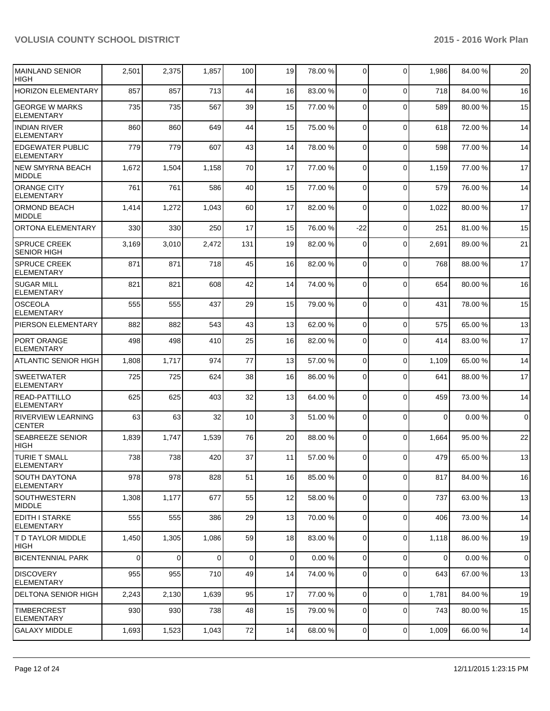| MAINLAND SENIOR<br><b>HIGH</b>               | 2,501          | 2,375 | 1,857          | 100         | 19             | 78.00 % | $\overline{0}$ | $\mathbf 0$    | 1,986          | 84.00%  | 20          |
|----------------------------------------------|----------------|-------|----------------|-------------|----------------|---------|----------------|----------------|----------------|---------|-------------|
| <b>HORIZON ELEMENTARY</b>                    | 857            | 857   | 713            | 44          | 16             | 83.00 % | $\overline{0}$ | $\Omega$       | 718            | 84.00 % | 16          |
| <b>GEORGE W MARKS</b><br><b>ELEMENTARY</b>   | 735            | 735   | 567            | 39          | 15             | 77.00 % | 0              | $\Omega$       | 589            | 80.00 % | 15          |
| <b>INDIAN RIVER</b><br><b>ELEMENTARY</b>     | 860            | 860   | 649            | 44          | 15             | 75.00 % | $\Omega$       | $\mathbf 0$    | 618            | 72.00 % | 14          |
| <b>EDGEWATER PUBLIC</b><br><b>ELEMENTARY</b> | 779            | 779   | 607            | 43          | 14             | 78.00 % | $\Omega$       | $\mathbf 0$    | 598            | 77.00 % | 14          |
| NEW SMYRNA BEACH<br><b>MIDDLE</b>            | 1,672          | 1,504 | 1,158          | 70          | 17             | 77.00 % | $\Omega$       | $\mathbf 0$    | 1,159          | 77.00 % | 17          |
| <b>ORANGE CITY</b><br><b>ELEMENTARY</b>      | 761            | 761   | 586            | 40          | 15             | 77.00 % | $\Omega$       | $\mathbf 0$    | 579            | 76.00%  | 14          |
| <b>ORMOND BEACH</b><br><b>MIDDLE</b>         | 1,414          | 1,272 | 1,043          | 60          | 17             | 82.00 % | $\Omega$       | $\mathbf 0$    | 1,022          | 80.00 % | 17          |
| <b>ORTONA ELEMENTARY</b>                     | 330            | 330   | 250            | 17          | 15             | 76.00 % | $-22$          | $\mathbf 0$    | 251            | 81.00%  | 15          |
| <b>SPRUCE CREEK</b><br><b>SENIOR HIGH</b>    | 3,169          | 3,010 | 2,472          | 131         | 19             | 82.00 % | $\Omega$       | $\mathbf 0$    | 2,691          | 89.00 % | 21          |
| <b>SPRUCE CREEK</b><br><b>ELEMENTARY</b>     | 871            | 871   | 718            | 45          | 16             | 82.00 % | $\Omega$       | $\mathbf 0$    | 768            | 88.00 % | 17          |
| <b>SUGAR MILL</b><br><b>ELEMENTARY</b>       | 821            | 821   | 608            | 42          | 14             | 74.00 % | $\Omega$       | $\mathbf 0$    | 654            | 80.00%  | 16          |
| IOSCEOLA<br><b>ELEMENTARY</b>                | 555            | 555   | 437            | 29          | 15             | 79.00 % | $\overline{0}$ | $\mathbf 0$    | 431            | 78.00 % | 15          |
| PIERSON ELEMENTARY                           | 882            | 882   | 543            | 43          | 13             | 62.00 % | $\overline{0}$ | $\Omega$       | 575            | 65.00 % | 13          |
| PORT ORANGE<br><b>ELEMENTARY</b>             | 498            | 498   | 410            | 25          | 16             | 82.00 % | $\Omega$       | $\Omega$       | 414            | 83.00 % | 17          |
| <b>ATLANTIC SENIOR HIGH</b>                  | 1,808          | 1,717 | 974            | 77          | 13             | 57.00 % | $\overline{0}$ | $\Omega$       | 1,109          | 65.00 % | 14          |
| <b>SWEETWATER</b><br><b>ELEMENTARY</b>       | 725            | 725   | 624            | 38          | 16             | 86.00 % | 0              | $\Omega$       | 641            | 88.00 % | 17          |
| READ-PATTILLO<br><b>ELEMENTARY</b>           | 625            | 625   | 403            | 32          | 13             | 64.00 % | $\Omega$       | $\Omega$       | 459            | 73.00 % | 14          |
| RIVERVIEW LEARNING<br><b>CENTER</b>          | 63             | 63    | 32             | 10          | $\overline{3}$ | 51.00 % | $\overline{0}$ | $\mathbf 0$    | $\mathbf 0$    | 0.00%   | $\mathbf 0$ |
| <b>SEABREEZE SENIOR</b><br><b>HIGH</b>       | 1,839          | 1,747 | 1,539          | 76          | 20             | 88.00 % | $\overline{0}$ | $\mathbf 0$    | 1,664          | 95.00 % | 22          |
| <b>TURIE T SMALL</b><br>ELEMENTARY           | 738            | 738   | 420            | 37          | 11             | 57.00 % | 0              | $\Omega$       | 479            | 65.00 % | 13          |
| <b>SOUTH DAYTONA</b><br> ELEMENTARY          | 978            | 978   | 828            | 51          | 16             | 85.00 % | $\overline{0}$ | $\mathbf 0$    | 817            | 84.00 % | 16          |
| <b>SOUTHWESTERN</b><br><b>MIDDLE</b>         | 1,308          | 1,177 | 677            | 55          | 12             | 58.00 % | $\overline{0}$ | $\mathbf 0$    | 737            | 63.00 % | 13          |
| IEDITH I STARKE<br><b>ELEMENTARY</b>         | 555            | 555   | 386            | 29          | 13             | 70.00 % | $\mathbf 0$    | $\mathbf 0$    | 406            | 73.00 % | 14          |
| <b>T D TAYLOR MIDDLE</b><br>HIGH             | 1,450          | 1,305 | 1,086          | 59          | 18             | 83.00 % | $\overline{0}$ | $\mathbf 0$    | 1,118          | 86.00%  | 19          |
| <b>BICENTENNIAL PARK</b>                     | $\overline{0}$ | 0     | $\overline{0}$ | $\mathbf 0$ | $\overline{0}$ | 0.00%   | $\overline{0}$ | $\overline{0}$ | $\overline{0}$ | 0.00%   | $\Omega$    |
| <b>DISCOVERY</b><br> ELEMENTARY              | 955            | 955   | 710            | 49          | 14             | 74.00 % | $\overline{0}$ | $\mathbf 0$    | 643            | 67.00%  | 13          |
| DELTONA SENIOR HIGH                          | 2,243          | 2,130 | 1,639          | 95          | 17             | 77.00 % | $\overline{0}$ | $\mathbf 0$    | 1,781          | 84.00%  | 19          |
| <b>TIMBERCREST</b><br><b>ELEMENTARY</b>      | 930            | 930   | 738            | 48          | 15             | 79.00 % | $\overline{0}$ | $\mathbf 0$    | 743            | 80.00 % | 15          |
| <b>GALAXY MIDDLE</b>                         | 1,693          | 1,523 | 1,043          | 72          | 14             | 68.00 % | $\overline{0}$ | 0              | 1,009          | 66.00 % | 14          |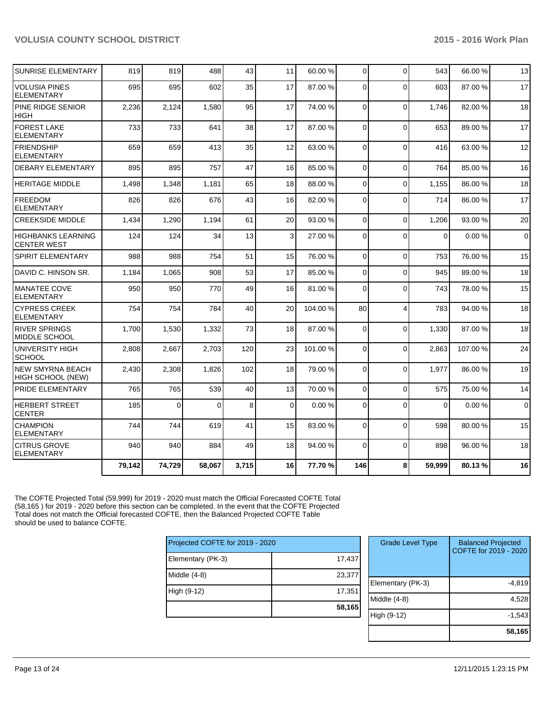| <b>SUNRISE ELEMENTARY</b>                       | 819    | 819          | 488    | 43    | 11 | 60.00 %  | $\overline{0}$ | $\Omega$                | 543      | 66.00 %  | 13          |
|-------------------------------------------------|--------|--------------|--------|-------|----|----------|----------------|-------------------------|----------|----------|-------------|
| <b>VOLUSIA PINES</b><br><b>ELEMENTARY</b>       | 695    | 695          | 602    | 35    | 17 | 87.00 %  | $\Omega$       | $\Omega$                | 603      | 87.00%   | 17          |
| PINE RIDGE SENIOR<br><b>HIGH</b>                | 2,236  | 2,124        | 1,580  | 95    | 17 | 74.00 %  | $\Omega$       | $\Omega$                | 1,746    | 82.00%   | 18          |
| <b>FOREST LAKE</b><br><b>ELEMENTARY</b>         | 733    | 733          | 641    | 38    | 17 | 87.00 %  | $\Omega$       | $\Omega$                | 653      | 89.00 %  | 17          |
| <b>FRIENDSHIP</b><br><b>ELEMENTARY</b>          | 659    | 659          | 413    | 35    | 12 | 63.00 %  | $\Omega$       | $\Omega$                | 416      | 63.00 %  | 12          |
| <b>DEBARY ELEMENTARY</b>                        | 895    | 895          | 757    | 47    | 16 | 85.00 %  | $\Omega$       | $\Omega$                | 764      | 85.00 %  | 16          |
| <b>HERITAGE MIDDLE</b>                          | 1,498  | 1,348        | 1,181  | 65    | 18 | 88.00 %  | 0              | $\Omega$                | 1,155    | 86.00 %  | 18          |
| <b>FREEDOM</b><br><b>ELEMENTARY</b>             | 826    | 826          | 676    | 43    | 16 | 82.00 %  | 0              | $\Omega$                | 714      | 86.00 %  | 17          |
| <b>CREEKSIDE MIDDLE</b>                         | 1,434  | 1,290        | 1,194  | 61    | 20 | 93.00 %  | $\Omega$       | $\Omega$                | 1,206    | 93.00 %  | 20          |
| <b>HIGHBANKS LEARNING</b><br><b>CENTER WEST</b> | 124    | 124          | 34     | 13    | 3  | 27.00 %  | $\Omega$       | $\Omega$                | $\Omega$ | 0.00%    | $\mathbf 0$ |
| SPIRIT ELEMENTARY                               | 988    | 988          | 754    | 51    | 15 | 76.00 %  | 0              | $\Omega$                | 753      | 76.00%   | 15          |
| DAVID C. HINSON SR.                             | 1,184  | 1,065        | 908    | 53    | 17 | 85.00 %  | $\overline{0}$ | $\Omega$                | 945      | 89.00 %  | 18          |
| <b>MANATEE COVE</b><br><b>ELEMENTARY</b>        | 950    | 950          | 770    | 49    | 16 | 81.00 %  | $\Omega$       | $\Omega$                | 743      | 78.00%   | 15          |
| <b>CYPRESS CREEK</b><br><b>ELEMENTARY</b>       | 754    | 754          | 784    | 40    | 20 | 104.00 % | 80             | $\overline{\mathbf{4}}$ | 783      | 94.00%   | 18          |
| <b>RIVER SPRINGS</b><br>MIDDLE SCHOOL           | 1,700  | 1,530        | 1,332  | 73    | 18 | 87.00 %  | $\Omega$       | $\Omega$                | 1,330    | 87.00 %  | 18          |
| UNIVERSITY HIGH<br><b>SCHOOL</b>                | 2,808  | 2,667        | 2,703  | 120   | 23 | 101.00 % | $\Omega$       | $\Omega$                | 2,863    | 107.00 % | 24          |
| NEW SMYRNA BEACH<br><b>HIGH SCHOOL (NEW)</b>    | 2,430  | 2,308        | 1,826  | 102   | 18 | 79.00 %  | $\Omega$       | $\Omega$                | 1,977    | 86.00 %  | 19          |
| PRIDE ELEMENTARY                                | 765    | 765          | 539    | 40    | 13 | 70.00 %  | $\Omega$       | $\Omega$                | 575      | 75.00 %  | 14          |
| <b>HERBERT STREET</b><br><b>CENTER</b>          | 185    | $\mathbf{0}$ | 0      | 8     | 0  | 0.00%    | $\Omega$       | $\Omega$                | $\Omega$ | 0.00%    | $\mathbf 0$ |
| <b>CHAMPION</b><br><b>ELEMENTARY</b>            | 744    | 744          | 619    | 41    | 15 | 83.00 %  | $\Omega$       | $\Omega$                | 598      | 80.00%   | 15          |
| <b>CITRUS GROVE</b><br><b>ELEMENTARY</b>        | 940    | 940          | 884    | 49    | 18 | 94.00 %  | 0              | $\Omega$                | 898      | 96.00 %  | 18          |
|                                                 | 79,142 | 74,729       | 58,067 | 3,715 | 16 | 77.70 %  | 146            | 8                       | 59,999   | 80.13%   | 16          |

The COFTE Projected Total (59,999) for 2019 - 2020 must match the Official Forecasted COFTE Total (58,165 ) for 2019 - 2020 before this section can be completed. In the event that the COFTE Projected Total does not match the Official forecasted COFTE, then the Balanced Projected COFTE Table should be used to balance COFTE.

|                                 | 58,165 |
|---------------------------------|--------|
| High (9-12)                     | 17,351 |
| Middle (4-8)                    | 23,377 |
| Elementary (PK-3)               | 17,437 |
| Projected COFTE for 2019 - 2020 |        |

| 7<br>$\overline{ }$ | <b>Grade Level Type</b> | <b>Balanced Projected</b><br>COFTE for 2019 - 2020 |
|---------------------|-------------------------|----------------------------------------------------|
| $\mathbf 1$         | Elementary (PK-3)       | $-4,819$                                           |
| 5                   | Middle $(4-8)$          | 4,528                                              |
|                     | High (9-12)             | $-1,543$                                           |
|                     |                         | 58,165                                             |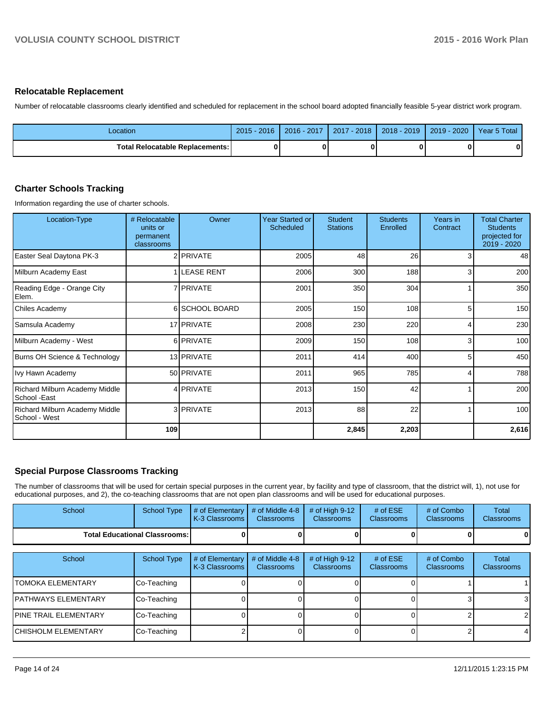#### **Relocatable Replacement**

Number of relocatable classrooms clearly identified and scheduled for replacement in the school board adopted financially feasible 5-year district work program.

| Location                          | $-2016$<br>$2015 - 1$ | 2016 - 2017 | ⊺- 2018 I<br>2017 | $ 2018 - 2019 $ | 2019 - 2020 | Year 5 Total |
|-----------------------------------|-----------------------|-------------|-------------------|-----------------|-------------|--------------|
| Total Relocatable Replacements: I |                       |             |                   |                 |             | 0            |

#### **Charter Schools Tracking**

Information regarding the use of charter schools.

| Location-Type                                   | # Relocatable<br>units or<br>permanent<br>classrooms | Owner            | <b>Year Started or</b><br>Scheduled | <b>Student</b><br><b>Stations</b> | <b>Students</b><br>Enrolled | Years in<br>Contract | <b>Total Charter</b><br><b>Students</b><br>projected for<br>2019 - 2020 |
|-------------------------------------------------|------------------------------------------------------|------------------|-------------------------------------|-----------------------------------|-----------------------------|----------------------|-------------------------------------------------------------------------|
| Easter Seal Daytona PK-3                        |                                                      | 2 PRIVATE        | 2005                                | 48                                | 26                          | 3                    | 48                                                                      |
| Milburn Academy East                            |                                                      | 1 LEASE RENT     | 2006                                | 300                               | 188                         | 3                    | 200                                                                     |
| Reading Edge - Orange City<br>Elem.             |                                                      | 7 <b>PRIVATE</b> | 2001                                | 350                               | 304                         |                      | 350                                                                     |
| Chiles Academy                                  |                                                      | 6 SCHOOL BOARD   | 2005                                | 150                               | 108                         | 5                    | 150                                                                     |
| Samsula Academy                                 |                                                      | 17 PRIVATE       | 2008                                | 230                               | 220                         |                      | 230                                                                     |
| Milburn Academy - West                          |                                                      | 6 PRIVATE        | 2009                                | 150                               | 108                         | 3                    | 100                                                                     |
| Burns OH Science & Technology                   |                                                      | 13 PRIVATE       | 2011                                | 414                               | 400                         | 5                    | 450                                                                     |
| Ivy Hawn Academy                                |                                                      | 50 PRIVATE       | 2011                                | 965                               | 785                         | 4                    | 788                                                                     |
| Richard Milburn Academy Middle<br>School - East |                                                      | 4 PRIVATE        | 2013                                | 150                               | 42                          |                      | 200                                                                     |
| Richard Milburn Academy Middle<br>School - West |                                                      | 3 PRIVATE        | 2013                                | 88                                | 22                          |                      | 100                                                                     |
|                                                 | 109                                                  |                  |                                     | 2,845                             | 2,203                       |                      | 2,616                                                                   |

# **Special Purpose Classrooms Tracking**

The number of classrooms that will be used for certain special purposes in the current year, by facility and type of classroom, that the district will, 1), not use for educational purposes, and 2), the co-teaching classrooms that are not open plan classrooms and will be used for educational purposes.

| School                                 | School Type | $\parallel$ # of Elementary $\parallel$ # of Middle 4-8 $\parallel$ # of High 9-12<br><b>IK-3 Classrooms I</b> | <b>Classrooms</b> | <b>Classrooms</b> | # of $ESE$<br><b>Classrooms</b> | # of Combo<br><b>Classrooms</b> | Total<br><b>Classrooms</b> |
|----------------------------------------|-------------|----------------------------------------------------------------------------------------------------------------|-------------------|-------------------|---------------------------------|---------------------------------|----------------------------|
| <b>Total Educational Classrooms: I</b> |             |                                                                                                                |                   |                   |                                 | 0                               | 0                          |

| School                    | School Type | $#$ of Elementary<br>K-3 Classrooms | # of Middle 4-8<br><b>Classrooms</b> | # of High $9-12$<br><b>Classrooms</b> | # of $ESE$<br><b>Classrooms</b> | # of Combo<br><b>Classrooms</b> | Total<br><b>Classrooms</b> |
|---------------------------|-------------|-------------------------------------|--------------------------------------|---------------------------------------|---------------------------------|---------------------------------|----------------------------|
| <b>ITOMOKA ELEMENTARY</b> | Co-Teaching |                                     |                                      |                                       |                                 |                                 |                            |
| IPATHWAYS ELEMENTARY      | Co-Teaching |                                     |                                      |                                       |                                 |                                 | 3                          |
| IPINE TRAIL ELEMENTARY    | Co-Teaching |                                     |                                      |                                       |                                 |                                 | $\overline{2}$             |
| İCHISHOLM ELEMENTARY      | Co-Teaching |                                     |                                      |                                       |                                 |                                 |                            |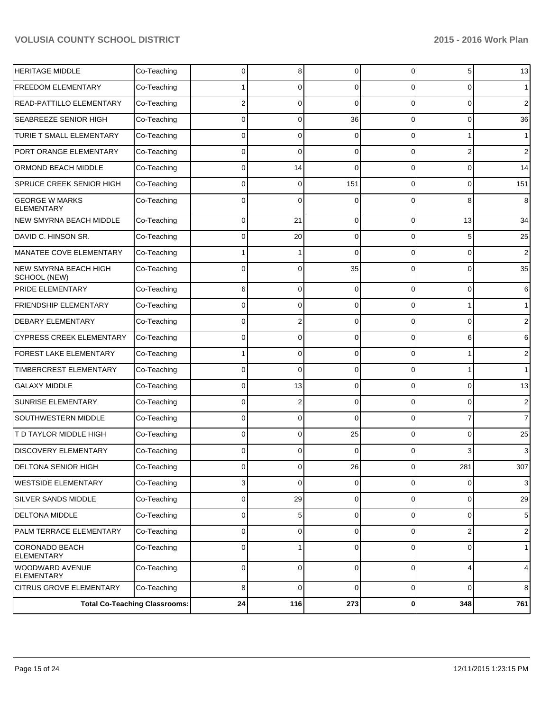| <b>HERITAGE MIDDLE</b>                     | Co-Teaching                          | 0          | 8              | $\Omega$    | 0              | 5              | 13             |
|--------------------------------------------|--------------------------------------|------------|----------------|-------------|----------------|----------------|----------------|
| <b>FREEDOM ELEMENTARY</b>                  | Co-Teaching                          |            | 0              | $\Omega$    | 0              | 0              | $\mathbf 1$    |
| READ-PATTILLO ELEMENTARY                   | Co-Teaching                          |            | 0              | $\Omega$    | 0              | 0              | 2              |
| SEABREEZE SENIOR HIGH                      | Co-Teaching                          | 0          | 0              | 36          | 0              | 0              | 36             |
| TURIE T SMALL ELEMENTARY                   | Co-Teaching                          | 0          | 0              | $\Omega$    | 0              | 1              | $\mathbf 1$    |
| PORT ORANGE ELEMENTARY                     | Co-Teaching                          | 0          | 0              | $\Omega$    | 0              | 2              | 2              |
| ORMOND BEACH MIDDLE                        | Co-Teaching                          | 0          | 14             | $\Omega$    | 0              | 0              | 14             |
| <b>SPRUCE CREEK SENIOR HIGH</b>            | Co-Teaching                          | 0          | 0              | 151         | 0              | 0              | 151            |
| <b>GEORGE W MARKS</b><br><b>ELEMENTARY</b> | Co-Teaching                          | 0          | 0              | C           | 0              | 8              | 8              |
| NEW SMYRNA BEACH MIDDLE                    | Co-Teaching                          | 0          | 21             | $\Omega$    | $\Omega$       | 13             | 34             |
| DAVID C. HINSON SR.                        | Co-Teaching                          | 0          | 20             | $\mathbf 0$ | $\Omega$       | 5              | 25             |
| MANATEE COVE ELEMENTARY                    | Co-Teaching                          |            | 1              | $\Omega$    | $\Omega$       | 0              | $\overline{2}$ |
| NEW SMYRNA BEACH HIGH<br>SCHOOL (NEW)      | Co-Teaching                          | 0          | 0              | 35          | $\Omega$       | 0              | 35             |
| PRIDE ELEMENTARY                           | Co-Teaching                          | 6          | 0              | $\Omega$    | $\Omega$       | 0              | 6              |
| <b>FRIENDSHIP ELEMENTARY</b>               | Co-Teaching                          | 0          | 0              | $\Omega$    | 0              | 1              | $\mathbf{1}$   |
| <b>DEBARY ELEMENTARY</b>                   | Co-Teaching                          | 0          | $\overline{2}$ | $\Omega$    | 0              | 0              | $\overline{2}$ |
| <b>CYPRESS CREEK ELEMENTARY</b>            | Co-Teaching                          | 0          | 0              | $\Omega$    | 0              | 6              | 6              |
| FOREST LAKE ELEMENTARY                     | Co-Teaching                          |            | 0              | $\Omega$    | 0              | 1              | $\overline{2}$ |
| TIMBERCREST ELEMENTARY                     | Co-Teaching                          | 0          | 0              | $\Omega$    | 0              | 1              | $\mathbf{1}$   |
| <b>GALAXY MIDDLE</b>                       | Co-Teaching                          | 0          | 13             | $\Omega$    | 0              | 0              | 13             |
| <b>SUNRISE ELEMENTARY</b>                  | Co-Teaching                          | 0          | 2              | $\Omega$    | 0              | 0              | $\overline{2}$ |
| <b>SOUTHWESTERN MIDDLE</b>                 | Co-Teaching                          | 0          | 0              | $\Omega$    | 0              | 7              | $\overline{7}$ |
| T D TAYLOR MIDDLE HIGH                     | Co-Teaching                          | 0          | 0              | 25          | $\Omega$       | 0              | 25             |
| <b>DISCOVERY ELEMENTARY</b>                | Co-Teaching                          | 0          | 0              | $\Omega$    | 0              | 3              | 3              |
| <b>DELTONA SENIOR HIGH</b>                 | Co-Teaching                          |            | ν              | 26          | v              | 281            | 307            |
| WESTSIDE ELEMENTARY                        | Co-Teaching                          | 3          | 0              | $\mathbf 0$ | $\overline{0}$ | $\overline{0}$ | 3              |
| SILVER SANDS MIDDLE                        | Co-Teaching                          | 0          | 29             | $\mathbf 0$ | $\overline{0}$ | $\overline{0}$ | 29             |
| <b>DELTONA MIDDLE</b>                      | Co-Teaching                          | 0          | 5 <sup>1</sup> | $\mathbf 0$ | $\overline{0}$ | $\overline{0}$ | 5              |
| PALM TERRACE ELEMENTARY                    | Co-Teaching                          | 0          | 0              | $\mathbf 0$ | $\overline{0}$ | $\mathsf{2}$   | $\sqrt{2}$     |
| CORONADO BEACH<br><b>ELEMENTARY</b>        | Co-Teaching                          | 0          | 1              | 0           | $\overline{0}$ | $\overline{0}$ | $\mathbf{1}$   |
| WOODWARD AVENUE<br><b>ELEMENTARY</b>       | Co-Teaching                          | 0          | 0              | 0           | $\overline{0}$ | $\overline{4}$ | $\overline{4}$ |
| <b>CITRUS GROVE ELEMENTARY</b>             | Co-Teaching                          | 8          | 0              | $\mathbf 0$ | $\overline{0}$ | $\overline{0}$ | 8              |
|                                            | <b>Total Co-Teaching Classrooms:</b> | ${\bf 24}$ | 116            | 273         | $\mathbf{0}$   | 348            | 761            |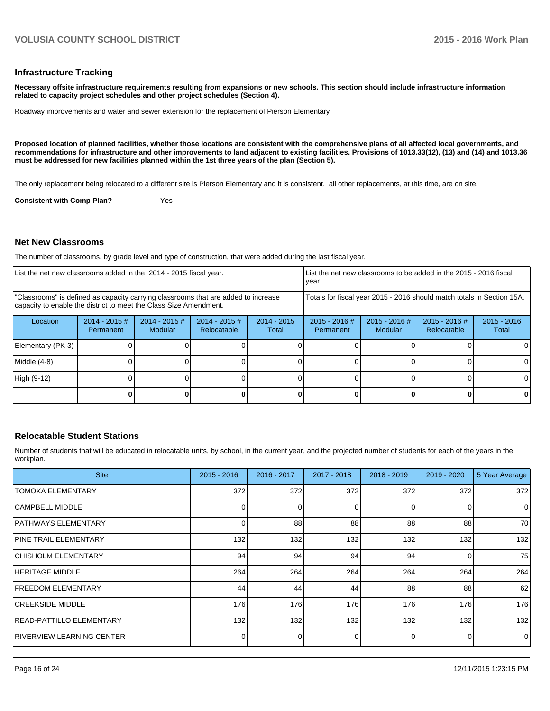#### **Infrastructure Tracking**

**Necessary offsite infrastructure requirements resulting from expansions or new schools. This section should include infrastructure information related to capacity project schedules and other project schedules (Section 4).**

Roadway improvements and water and sewer extension for the replacement of Pierson Elementary

**Proposed location of planned facilities, whether those locations are consistent with the comprehensive plans of all affected local governments, and recommendations for infrastructure and other improvements to land adjacent to existing facilities. Provisions of 1013.33(12), (13) and (14) and 1013.36 must be addressed for new facilities planned within the 1st three years of the plan (Section 5).**

The only replacement being relocated to a different site is Pierson Elementary and it is consistent. all other replacements, at this time, are on site.

**Consistent with Comp Plan?** Yes

#### **Net New Classrooms**

The number of classrooms, by grade level and type of construction, that were added during the last fiscal year.

| List the net new classrooms added in the 2014 - 2015 fiscal year.                                                                                       |                               |                                   |                                 |                        | vear.                                                                  |                            | Llist the net new classrooms to be added in the 2015 - 2016 fiscal |                        |  |  |
|---------------------------------------------------------------------------------------------------------------------------------------------------------|-------------------------------|-----------------------------------|---------------------------------|------------------------|------------------------------------------------------------------------|----------------------------|--------------------------------------------------------------------|------------------------|--|--|
| "Classrooms" is defined as capacity carrying classrooms that are added to increase<br>capacity to enable the district to meet the Class Size Amendment. |                               |                                   |                                 |                        | Totals for fiscal year 2015 - 2016 should match totals in Section 15A. |                            |                                                                    |                        |  |  |
| Location                                                                                                                                                | $2014 - 2015 \#$<br>Permanent | $2014 - 2015$ #<br><b>Modular</b> | $2014 - 2015 \#$<br>Relocatable | $2014 - 2015$<br>Total | $2015 - 2016$ #<br>Permanent                                           | $2015 - 2016$ #<br>Modular | $2015 - 2016$ #<br>Relocatable                                     | $2015 - 2016$<br>Total |  |  |
| Elementary (PK-3)                                                                                                                                       |                               |                                   |                                 |                        |                                                                        |                            |                                                                    |                        |  |  |
| Middle (4-8)                                                                                                                                            |                               |                                   |                                 |                        |                                                                        |                            |                                                                    |                        |  |  |
| High (9-12)                                                                                                                                             |                               |                                   |                                 |                        |                                                                        |                            |                                                                    |                        |  |  |
|                                                                                                                                                         |                               |                                   |                                 |                        |                                                                        |                            |                                                                    |                        |  |  |

#### **Relocatable Student Stations**

Number of students that will be educated in relocatable units, by school, in the current year, and the projected number of students for each of the years in the workplan.

| <b>Site</b>                 | $2015 - 2016$ | 2016 - 2017 | 2017 - 2018 | $2018 - 2019$ | $2019 - 2020$ | 5 Year Average |
|-----------------------------|---------------|-------------|-------------|---------------|---------------|----------------|
| ITOMOKA ELEMENTARY          | 372           | 372         | 372         | 372           | 372           | 372            |
| ICAMPBELL MIDDLE            |               | 0           | O           | $\Omega$      | 0             | $\mathbf 0$    |
| <b>JPATHWAYS ELEMENTARY</b> |               | 88          | 88          | 88            | 88            | 70             |
| IPINE TRAIL ELEMENTARY      | 132           | 132         | 132         | 132           | 132           | 132            |
| İCHISHOLM ELEMENTARY        | 94            | 94          | 94          | 94            | 0             | 75             |
| IHERITAGE MIDDLE            | 264           | 264         | 264         | 264           | 264           | 264            |
| <b>IFREEDOM ELEMENTARY</b>  | 44            | 44          | 44          | 88            | 88            | 62             |
| ICREEKSIDE MIDDLE           | 176           | 176         | 176         | 176           | 176           | 176            |
| IREAD-PATTILLO ELEMENTARY   | 132           | 132         | 132         | 132           | 132           | 132            |
| IRIVERVIEW LEARNING CENTER  |               | 0           |             |               | 0             | $\mathbf 0$    |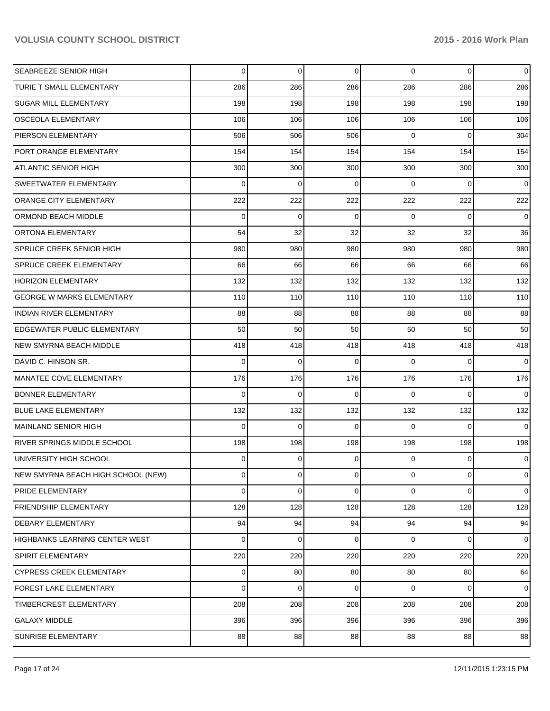| <b>SEABREEZE SENIOR HIGH</b>       | 0           | $\Omega$       | 0              | $\overline{0}$ | $\overline{0}$ | $\mathbf 0$    |
|------------------------------------|-------------|----------------|----------------|----------------|----------------|----------------|
| TURIE T SMALL ELEMENTARY           | 286         | 286            | 286            | 286            | 286            | 286            |
| <b>SUGAR MILL ELEMENTARY</b>       | 198         | 198            | 198            | 198            | 198            | 198            |
| <b>OSCEOLA ELEMENTARY</b>          | 106         | 106            | 106            | 106            | 106            | 106            |
| PIERSON ELEMENTARY                 | 506         | 506            | 506            | $\Omega$       | $\Omega$       | 304            |
| PORT ORANGE ELEMENTARY             | 154         | 154            | 154            | 154            | 154            | 154            |
| <b>ATLANTIC SENIOR HIGH</b>        | 300         | 300            | 300            | 300            | 300            | 300            |
| <b>SWEETWATER ELEMENTARY</b>       | 0           | 0              | 0              | $\Omega$       | 0              | $\overline{0}$ |
| <b>ORANGE CITY ELEMENTARY</b>      | 222         | 222            | 222            | 222            | 222            | 222            |
| ORMOND BEACH MIDDLE                | $\mathbf 0$ | $\mathbf 0$    | $\mathbf 0$    | $\Omega$       | $\overline{0}$ | $\overline{0}$ |
| <b>ORTONA ELEMENTARY</b>           | 54          | 32             | 32             | 32             | 32             | 36             |
| <b>SPRUCE CREEK SENIOR HIGH</b>    | 980         | 980            | 980            | 980            | 980            | 980            |
| <b>SPRUCE CREEK ELEMENTARY</b>     | 66          | 66             | 66             | 66             | 66             | 66             |
| <b>HORIZON ELEMENTARY</b>          | 132         | 132            | 132            | 132            | 132            | 132            |
| <b>GEORGE W MARKS ELEMENTARY</b>   | 110         | 110            | 110            | 110            | 110            | 110            |
| <b>INDIAN RIVER ELEMENTARY</b>     | 88          | 88             | 88             | 88             | 88             | 88             |
| <b>EDGEWATER PUBLIC ELEMENTARY</b> | 50          | 50             | 50             | 50             | 50             | 50             |
| <b>NEW SMYRNA BEACH MIDDLE</b>     | 418         | 418            | 418            | 418            | 418            | 418            |
| DAVID C. HINSON SR.                | 0           | $\Omega$       | $\Omega$       | $\Omega$       | $\Omega$       | $\overline{0}$ |
| MANATEE COVE ELEMENTARY            | 176         | 176            | 176            | 176            | 176            | 176            |
| <b>BONNER ELEMENTARY</b>           | 0           | $\mathbf{0}$   | $\Omega$       | $\Omega$       | $\Omega$       | $\overline{0}$ |
| <b>BLUE LAKE ELEMENTARY</b>        | 132         | 132            | 132            | 132            | 132            | 132            |
| MAINLAND SENIOR HIGH               | 0           | $\Omega$       | $\Omega$       | $\Omega$       | $\Omega$       | $\overline{0}$ |
| <b>RIVER SPRINGS MIDDLE SCHOOL</b> | 198         | 198            | 198            | 198            | 198            | 198            |
| UNIVERSITY HIGH SCHOOL             | 0           | 0              | $\Omega$       | $\Omega$       | $\Omega$       | $\overline{0}$ |
| NEW SMYRNA BEACH HIGH SCHOOL (NEW) | 0           | $\overline{0}$ | $\overline{0}$ | $\overline{0}$ | $\overline{0}$ | $\mathbf 0$    |
| <b>PRIDE ELEMENTARY</b>            | 0           | 0              | $\Omega$       | 0              | $\overline{0}$ | $\mathbf 0$    |
| <b>FRIENDSHIP ELEMENTARY</b>       | 128         | 128            | 128            | 128            | 128            | 128            |
| <b>DEBARY ELEMENTARY</b>           | 94          | 94             | 94             | 94             | 94             | 94             |
| HIGHBANKS LEARNING CENTER WEST     | 0           | 0              | 0              | $\overline{0}$ | 0              | $\overline{0}$ |
| <b>SPIRIT ELEMENTARY</b>           | 220         | 220            | 220            | 220            | 220            | 220            |
| <b>CYPRESS CREEK ELEMENTARY</b>    | 0           | 80             | 80             | 80             | 80             | 64             |
| <b>FOREST LAKE ELEMENTARY</b>      | 0           | 0              | 0              | $\overline{0}$ | $\overline{0}$ | $\overline{0}$ |
| <b>TIMBERCREST ELEMENTARY</b>      | 208         | 208            | 208            | 208            | 208            | 208            |
| <b>GALAXY MIDDLE</b>               | 396         | 396            | 396            | 396            | 396            | 396            |
| SUNRISE ELEMENTARY                 | 88          | 88             | 88             | 88             | 88             | 88             |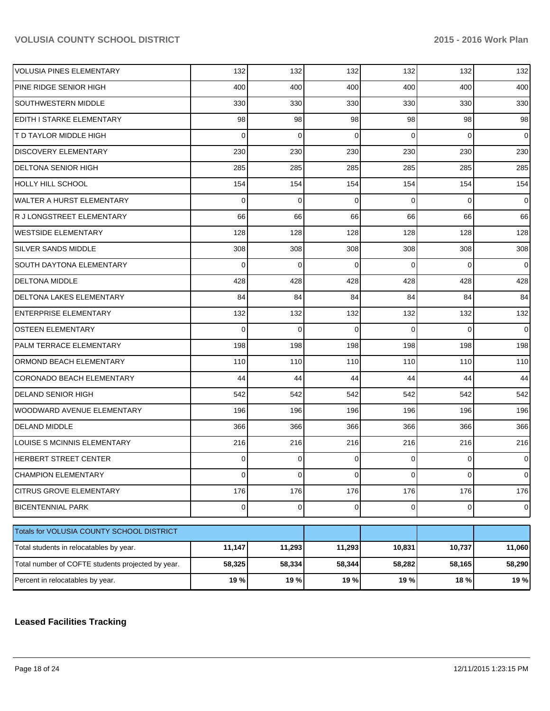| <b>VOLUSIA PINES ELEMENTARY</b>                   | 132            | 132            | 132      | 132            | 132            | 132            |
|---------------------------------------------------|----------------|----------------|----------|----------------|----------------|----------------|
| PINE RIDGE SENIOR HIGH                            | 400            | 400            | 400      | 400            | 400            | 400            |
| <b>SOUTHWESTERN MIDDLE</b>                        | 330            | 330            | 330      | 330            | 330            | 330            |
| <b>EDITH I STARKE ELEMENTARY</b>                  | 98             | 98             | 98       | 98             | 98             | 98             |
| <b>T D TAYLOR MIDDLE HIGH</b>                     | 0              | $\Omega$       | $\Omega$ | $\Omega$       | $\Omega$       | $\Omega$       |
| <b>DISCOVERY ELEMENTARY</b>                       | 230            | 230            | 230      | 230            | 230            | 230            |
| <b>DELTONA SENIOR HIGH</b>                        | 285            | 285            | 285      | 285            | 285            | 285            |
| HOLLY HILL SCHOOL                                 | 154            | 154            | 154      | 154            | 154            | 154            |
| <b>WALTER A HURST ELEMENTARY</b>                  | 0              | $\Omega$       | $\Omega$ | $\Omega$       | $\Omega$       | $\Omega$       |
| R J LONGSTREET ELEMENTARY                         | 66             | 66             | 66       | 66             | 66             | 66             |
| WESTSIDE ELEMENTARY                               | 128            | 128            | 128      | 128            | 128            | 128            |
| <b>SILVER SANDS MIDDLE</b>                        | 308            | 308            | 308      | 308            | 308            | 308            |
| <b>SOUTH DAYTONA ELEMENTARY</b>                   | 0              | $\Omega$       | $\Omega$ | $\Omega$       | $\Omega$       | $\Omega$       |
| <b>DELTONA MIDDLE</b>                             | 428            | 428            | 428      | 428            | 428            | 428            |
| <b>DELTONA LAKES ELEMENTARY</b>                   | 84             | 84             | 84       | 84             | 84             | 84             |
| <b>ENTERPRISE ELEMENTARY</b>                      | 132            | 132            | 132      | 132            | 132            | 132            |
| <b>OSTEEN ELEMENTARY</b>                          | 0              | $\Omega$       | $\Omega$ | $\Omega$       | $\Omega$       | $\Omega$       |
| <b>PALM TERRACE ELEMENTARY</b>                    | 198            | 198            | 198      | 198            | 198            | 198            |
| <b>ORMOND BEACH ELEMENTARY</b>                    | 110            | 110            | 110      | 110            | 110            | 110            |
| <b>CORONADO BEACH ELEMENTARY</b>                  | 44             | 44             | 44       | 44             | 44             | 44             |
| <b>DELAND SENIOR HIGH</b>                         | 542            | 542            | 542      | 542            | 542            | 542            |
| WOODWARD AVENUE ELEMENTARY                        | 196            | 196            | 196      | 196            | 196            | 196            |
| <b>DELAND MIDDLE</b>                              | 366            | 366            | 366      | 366            | 366            | 366            |
| LOUISE S MCINNIS ELEMENTARY                       | 216            | 216            | 216      | 216            | 216            | 216            |
| HERBERT STREET CENTER                             | 0              | $\Omega$       | 0        | 0              | $\Omega$       | $\overline{0}$ |
| <b>CHAMPION ELEMENTARY</b>                        | $\overline{0}$ | $\overline{0}$ | 0        | $\overline{0}$ | $\overline{0}$ | $\overline{0}$ |
| <b>CITRUS GROVE ELEMENTARY</b>                    | 176            | 176            | 176      | 176            | 176            | 176            |
| <b>BICENTENNIAL PARK</b>                          | $\overline{0}$ | $\mathbf 0$    | 0        | $\overline{0}$ | $\mathbf 0$    | $\overline{0}$ |
| Totals for VOLUSIA COUNTY SCHOOL DISTRICT         |                |                |          |                |                |                |
| Total students in relocatables by year.           | 11,147         | 11,293         | 11,293   | 10,831         | 10,737         | 11,060         |
| Total number of COFTE students projected by year. | 58,325         | 58,334         | 58,344   | 58,282         | 58,165         | 58,290         |
| Percent in relocatables by year.                  | 19 %           | 19%            | 19 %     | 19 %           | 18%            | 19 %           |

# **Leased Facilities Tracking**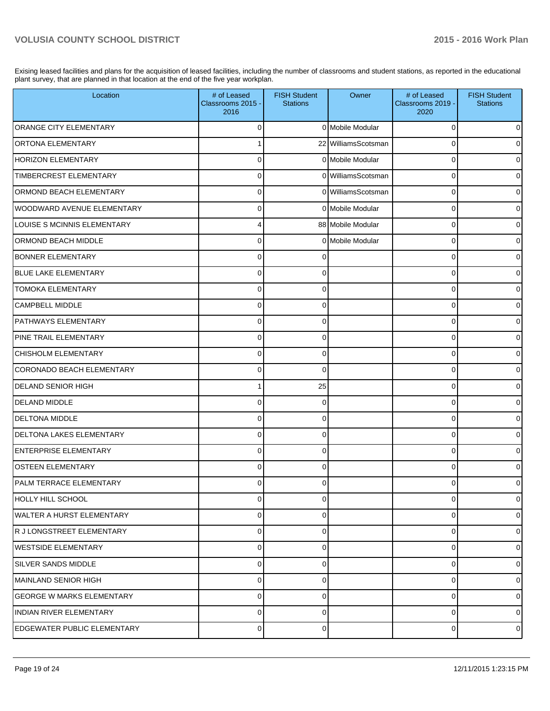Exising leased facilities and plans for the acquisition of leased facilities, including the number of classrooms and student stations, as reported in the educational plant survey, that are planned in that location at the end of the five year workplan.

| Location                           | # of Leased<br>Classrooms 2015 -<br>2016 | <b>FISH Student</b><br><b>Stations</b> | Owner               | # of Leased<br>Classrooms 2019 -<br>2020 | <b>FISH Student</b><br><b>Stations</b> |
|------------------------------------|------------------------------------------|----------------------------------------|---------------------|------------------------------------------|----------------------------------------|
| <b>ORANGE CITY ELEMENTARY</b>      | 0                                        |                                        | 0 Mobile Modular    | 0                                        | 0                                      |
| <b>ORTONA ELEMENTARY</b>           |                                          |                                        | 22 WilliamsScotsman | 0                                        | $\overline{0}$                         |
| <b>HORIZON ELEMENTARY</b>          | 0                                        |                                        | 0 Mobile Modular    | 0                                        | $\overline{0}$                         |
| TIMBERCREST ELEMENTARY             | $\mathbf 0$                              |                                        | 0 WilliamsScotsman  | 0                                        | $\overline{0}$                         |
| <b>ORMOND BEACH ELEMENTARY</b>     | 0                                        |                                        | 0 WilliamsScotsman  | 0                                        | $\overline{0}$                         |
| WOODWARD AVENUE ELEMENTARY         | $\Omega$                                 |                                        | 0 Mobile Modular    | 0                                        | $\overline{0}$                         |
| LOUISE S MCINNIS ELEMENTARY        |                                          |                                        | 88 Mobile Modular   | 0                                        | $\overline{0}$                         |
| <b>ORMOND BEACH MIDDLE</b>         | $\Omega$                                 |                                        | 0 Mobile Modular    | 0                                        | $\overline{0}$                         |
| <b>BONNER ELEMENTARY</b>           | 0                                        |                                        |                     | 0                                        | $\overline{0}$                         |
| <b>BLUE LAKE ELEMENTARY</b>        | $\mathbf 0$                              | $\Omega$                               |                     | 0                                        | $\overline{0}$                         |
| <b>TOMOKA ELEMENTARY</b>           | $\Omega$                                 | 0                                      |                     | 0                                        | $\overline{0}$                         |
| <b>CAMPBELL MIDDLE</b>             | $\Omega$                                 | 0                                      |                     | 0                                        | $\overline{0}$                         |
| <b>PATHWAYS ELEMENTARY</b>         | $\Omega$                                 | 0                                      |                     | 0                                        | $\overline{0}$                         |
| <b>PINE TRAIL ELEMENTARY</b>       | $\Omega$                                 | 0                                      |                     | 0                                        | $\overline{0}$                         |
| CHISHOLM ELEMENTARY                | 0                                        | 0                                      |                     | 0                                        | $\overline{0}$                         |
| CORONADO BEACH ELEMENTARY          | $\Omega$                                 | 0                                      |                     | 0                                        | $\overline{0}$                         |
| <b>DELAND SENIOR HIGH</b>          |                                          | 25                                     |                     | 0                                        | $\overline{0}$                         |
| <b>DELAND MIDDLE</b>               | $\Omega$                                 | 0                                      |                     | U                                        | $\overline{0}$                         |
| <b>DELTONA MIDDLE</b>              | 0                                        | 0                                      |                     | 0                                        | $\overline{0}$                         |
| <b>DELTONA LAKES ELEMENTARY</b>    | $\Omega$                                 | 0                                      |                     | 0                                        | $\overline{0}$                         |
| <b>ENTERPRISE ELEMENTARY</b>       | 0                                        | 0                                      |                     | 0                                        | $\overline{0}$                         |
| <b>OSTEEN ELEMENTARY</b>           | $\Omega$                                 | 0                                      |                     | 0                                        | $\overline{0}$                         |
| PALM TERRACE ELEMENTARY            | 0                                        | 0                                      |                     | 0                                        | $\overline{0}$                         |
| HOLLY HILL SCHOOL                  | $\mathbf 0$                              | 0                                      |                     | 0                                        | $\mathbf 0$                            |
| <b>WALTER A HURST ELEMENTARY</b>   | $\pmb{0}$                                | 0                                      |                     | 0                                        | $\overline{0}$                         |
| R J LONGSTREET ELEMENTARY          | $\mathbf 0$                              | 0                                      |                     | 0                                        | $\overline{0}$                         |
| WESTSIDE ELEMENTARY                | $\pmb{0}$                                | 0                                      |                     | 0                                        | $\overline{0}$                         |
| SILVER SANDS MIDDLE                | $\mathbf 0$                              | 0                                      |                     | 0                                        | $\overline{0}$                         |
| MAINLAND SENIOR HIGH               | $\pmb{0}$                                | 0                                      |                     | 0                                        | $\overline{0}$                         |
| <b>GEORGE W MARKS ELEMENTARY</b>   | $\mathbf 0$                              | 0                                      |                     | 0                                        | $\overline{0}$                         |
| <b>INDIAN RIVER ELEMENTARY</b>     | $\mathbf 0$                              | 0                                      |                     | 0                                        | $\overline{0}$                         |
| <b>EDGEWATER PUBLIC ELEMENTARY</b> | 0                                        | 0                                      |                     | 0                                        | $\overline{0}$                         |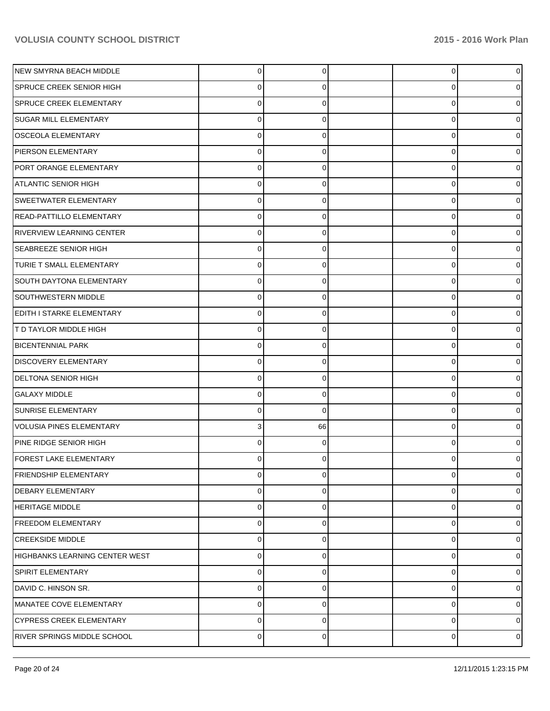| NEW SMYRNA BEACH MIDDLE               | 0           | 0  | $\overline{0}$ | n              |
|---------------------------------------|-------------|----|----------------|----------------|
| <b>SPRUCE CREEK SENIOR HIGH</b>       | 0           | 0  | 0              |                |
| <b>SPRUCE CREEK ELEMENTARY</b>        | 0           | 0  | 0              |                |
| SUGAR MILL ELEMENTARY                 | 0           | 0  | 0              |                |
| <b>OSCEOLA ELEMENTARY</b>             | 0           | 0  | 0              |                |
| PIERSON ELEMENTARY                    | 0           | 0  | 0              |                |
| PORT ORANGE ELEMENTARY                | 0           | 0  | 0              |                |
| <b>ATLANTIC SENIOR HIGH</b>           | 0           | 0  | 0              |                |
| SWEETWATER ELEMENTARY                 | 0           | 0  | 0              |                |
| <b>READ-PATTILLO ELEMENTARY</b>       | $\Omega$    | 0  | 0              |                |
| <b>RIVERVIEW LEARNING CENTER</b>      | 0           | 0  | 0              |                |
| <b>SEABREEZE SENIOR HIGH</b>          | 0           | 0  | 0              |                |
| TURIE T SMALL ELEMENTARY              | 0           | 0  | 0              |                |
| <b>SOUTH DAYTONA ELEMENTARY</b>       | $\Omega$    | 0  | 0              |                |
| SOUTHWESTERN MIDDLE                   | 0           | 0  | 0              |                |
| EDITH I STARKE ELEMENTARY             | 0           | 0  | 0              |                |
| T D TAYLOR MIDDLE HIGH                | 0           | 0  | 0              |                |
| <b>BICENTENNIAL PARK</b>              | $\Omega$    | 0  | 0              |                |
| <b>DISCOVERY ELEMENTARY</b>           | 0           | 0  | 0              |                |
| <b>DELTONA SENIOR HIGH</b>            | 0           | 0  | 0              |                |
| <b>GALAXY MIDDLE</b>                  | 0           | 0  | 0              |                |
| SUNRISE ELEMENTARY                    | $\Omega$    | 0  | 0              |                |
| VOLUSIA PINES ELEMENTARY              | 3           | 66 | 0              |                |
| PINE RIDGE SENIOR HIGH                | 0           | 0  | 0              |                |
| FOREST LAKE ELEMENTARY                |             |    | 0              |                |
| <b>FRIENDSHIP ELEMENTARY</b>          | 0           | 0  | 0              | 0              |
| <b>DEBARY ELEMENTARY</b>              | 0           | 0  | 0              | 0              |
| <b>HERITAGE MIDDLE</b>                | $\Omega$    | 0  | 0              | 0              |
| <b>FREEDOM ELEMENTARY</b>             | 0           | 0  | 0              | 0              |
| <b>CREEKSIDE MIDDLE</b>               | $\Omega$    | 0  | 0              | 0              |
| <b>HIGHBANKS LEARNING CENTER WEST</b> | 0           | 0  | 0              | 0              |
| <b>SPIRIT ELEMENTARY</b>              | 0           | 0  | 0              | 0              |
| DAVID C. HINSON SR.                   | 0           | 0  | 0              | 0              |
| MANATEE COVE ELEMENTARY               | $\Omega$    | n  | 0              | 0              |
| <b>CYPRESS CREEK ELEMENTARY</b>       | $\mathbf 0$ | 0  | 0              | 0              |
| RIVER SPRINGS MIDDLE SCHOOL           | 0           | 0  | 0              | $\overline{0}$ |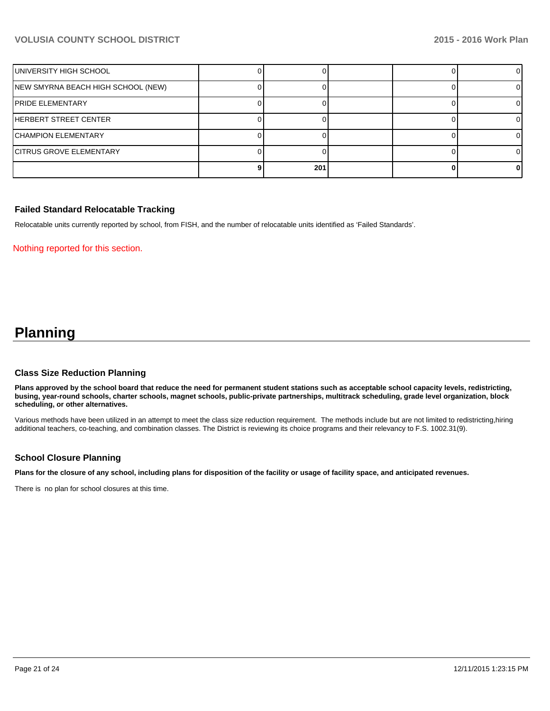| UNIVERSITY HIGH SCHOOL             |     |  |  |
|------------------------------------|-----|--|--|
| NEW SMYRNA BEACH HIGH SCHOOL (NEW) |     |  |  |
| <b>IPRIDE ELEMENTARY</b>           |     |  |  |
| HERBERT STREET CENTER              |     |  |  |
| <b>CHAMPION ELEMENTARY</b>         |     |  |  |
| <b>CITRUS GROVE ELEMENTARY</b>     |     |  |  |
|                                    | 201 |  |  |

#### **Failed Standard Relocatable Tracking**

Relocatable units currently reported by school, from FISH, and the number of relocatable units identified as 'Failed Standards'.

Nothing reported for this section.

# **Planning**

#### **Class Size Reduction Planning**

**Plans approved by the school board that reduce the need for permanent student stations such as acceptable school capacity levels, redistricting, busing, year-round schools, charter schools, magnet schools, public-private partnerships, multitrack scheduling, grade level organization, block scheduling, or other alternatives.**

Various methods have been utilized in an attempt to meet the class size reduction requirement. The methods include but are not limited to redistricting,hiring additional teachers, co-teaching, and combination classes. The District is reviewing its choice programs and their relevancy to F.S. 1002.31(9).

#### **School Closure Planning**

**Plans for the closure of any school, including plans for disposition of the facility or usage of facility space, and anticipated revenues.**

There is no plan for school closures at this time.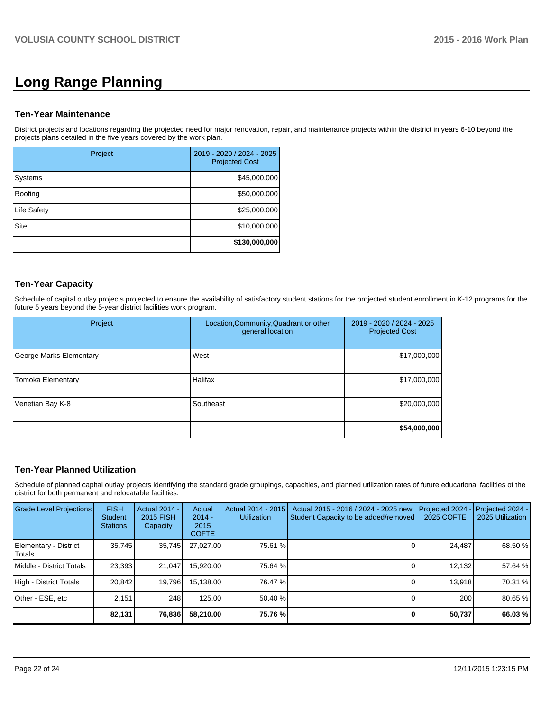# **Long Range Planning**

#### **Ten-Year Maintenance**

District projects and locations regarding the projected need for major renovation, repair, and maintenance projects within the district in years 6-10 beyond the projects plans detailed in the five years covered by the work plan.

| Project     | 2019 - 2020 / 2024 - 2025<br><b>Projected Cost</b> |
|-------------|----------------------------------------------------|
| Systems     | \$45,000,000                                       |
| Roofing     | \$50,000,000                                       |
| Life Safety | \$25,000,000                                       |
| Site        | \$10,000,000                                       |
|             | \$130,000,000                                      |

### **Ten-Year Capacity**

Schedule of capital outlay projects projected to ensure the availability of satisfactory student stations for the projected student enrollment in K-12 programs for the future 5 years beyond the 5-year district facilities work program.

| Project                 | Location, Community, Quadrant or other<br>general location | 2019 - 2020 / 2024 - 2025<br><b>Projected Cost</b> |
|-------------------------|------------------------------------------------------------|----------------------------------------------------|
| George Marks Elementary | West                                                       | \$17,000,000                                       |
| Tomoka Elementary       | <b>Halifax</b>                                             | \$17,000,000                                       |
| Venetian Bay K-8        | Southeast                                                  | \$20,000,000                                       |
|                         |                                                            | \$54,000,000                                       |

# **Ten-Year Planned Utilization**

Schedule of planned capital outlay projects identifying the standard grade groupings, capacities, and planned utilization rates of future educational facilities of the district for both permanent and relocatable facilities.

| Grade Level Projections         | <b>FISH</b><br><b>Student</b><br><b>Stations</b> | <b>Actual 2014 -</b><br>2015 FISH<br>Capacity | Actual<br>$2014 -$<br>2015<br><b>COFTE</b> | Actual 2014 - 2015<br><b>Utilization</b> | Actual 2015 - 2016 / 2024 - 2025 new<br>Student Capacity to be added/removed | Projected 2024<br><b>2025 COFTE</b> | Projected 2024 -<br>2025 Utilization |
|---------------------------------|--------------------------------------------------|-----------------------------------------------|--------------------------------------------|------------------------------------------|------------------------------------------------------------------------------|-------------------------------------|--------------------------------------|
| Elementary - District<br>Totals | 35,745                                           | 35,745                                        | 27,027.00                                  | 75.61 %                                  |                                                                              | 24,487                              | 68.50 %                              |
| Middle - District Totals        | 23.393                                           | 21.047                                        | 15,920.00                                  | 75.64 %                                  |                                                                              | 12,132                              | 57.64 %                              |
| High - District Totals          | 20,842                                           | 19,796                                        | 15,138.00                                  | 76.47 %                                  |                                                                              | 13,918                              | 70.31 %                              |
| Other - ESE, etc                | 2.151                                            | 248                                           | 125.00                                     | 50.40 %                                  |                                                                              | 200                                 | 80.65 %                              |
|                                 | 82,131                                           | 76,836                                        | 58,210.00                                  | 75.76 %                                  |                                                                              | 50,737                              | 66.03 %                              |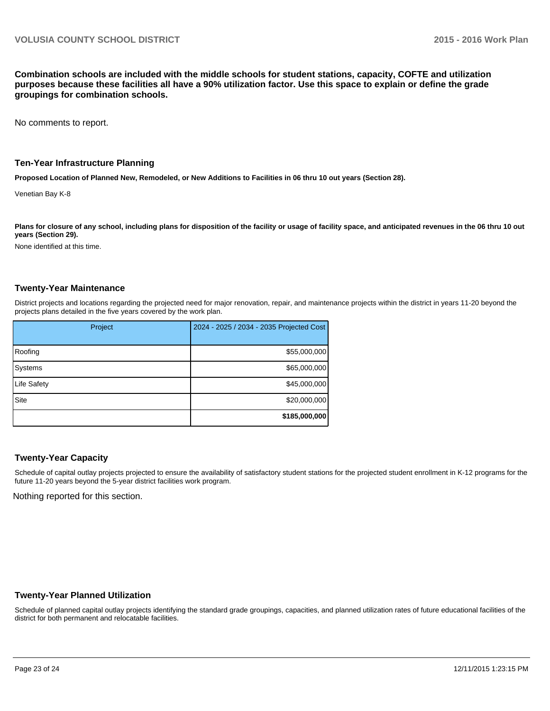**Combination schools are included with the middle schools for student stations, capacity, COFTE and utilization purposes because these facilities all have a 90% utilization factor. Use this space to explain or define the grade groupings for combination schools.**

No comments to report.

#### **Ten-Year Infrastructure Planning**

**Proposed Location of Planned New, Remodeled, or New Additions to Facilities in 06 thru 10 out years (Section 28).**

Venetian Bay K-8

**Plans for closure of any school, including plans for disposition of the facility or usage of facility space, and anticipated revenues in the 06 thru 10 out years (Section 29).**

None identified at this time.

#### **Twenty-Year Maintenance**

District projects and locations regarding the projected need for major renovation, repair, and maintenance projects within the district in years 11-20 beyond the projects plans detailed in the five years covered by the work plan.

| Project            | 2024 - 2025 / 2034 - 2035 Projected Cost |
|--------------------|------------------------------------------|
| Roofing            | \$55,000,000                             |
| Systems            | \$65,000,000                             |
| <b>Life Safety</b> | \$45,000,000                             |
| Site               | \$20,000,000                             |
|                    | \$185,000,000                            |

#### **Twenty-Year Capacity**

Schedule of capital outlay projects projected to ensure the availability of satisfactory student stations for the projected student enrollment in K-12 programs for the future 11-20 years beyond the 5-year district facilities work program.

Nothing reported for this section.

#### **Twenty-Year Planned Utilization**

Schedule of planned capital outlay projects identifying the standard grade groupings, capacities, and planned utilization rates of future educational facilities of the district for both permanent and relocatable facilities.